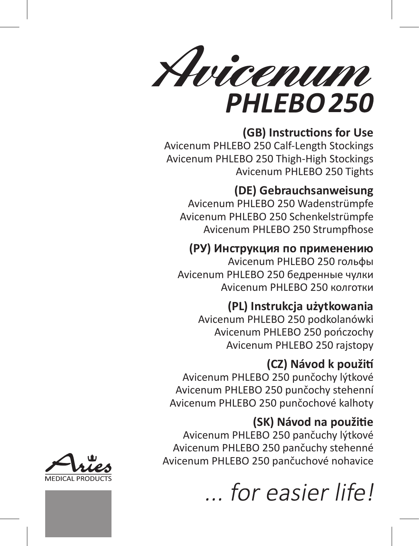

# **(GB) Instructions for Use**

Avicenum PHLEBO 250 Calf-Length Stockings Avicenum PHLEBO 250 Thigh-High Stockings Avicenum PHLEBO 250 Tights

# **(DE) Gebrauchsanweisung**

Avicenum PHLEBO 250 Wadenstrümpfe Avicenum PHLEBO 250 Schenkelstrümpfe Avicenum PHLEBO 250 Strumpfhose

# **(РУ) Инструкция по применению**

Avicenum PHLEBO 250 гольфы Avicenum PHLEBO 250 бедренные чулки Avicenum PHLEBO 250 колготки

# **(PL) Instrukcja użytkowania**

Avicenum PHLEBO 250 podkolanówki Avicenum PHLEBO 250 pończochy Avicenum PHLEBO 250 rajstopy

# **(CZ) Návod k použití**

Avicenum PHLEBO 250 punčochy lýtkové Avicenum PHLEBO 250 punčochy stehenní Avicenum PHLEBO 250 punčochové kalhoty

# **(SK) Návod na použitie**

Avicenum PHLEBO 250 pančuchy lýtkové Avicenum PHLEBO 250 pančuchy stehenné Avicenum PHLEBO 250 pančuchové nohavice



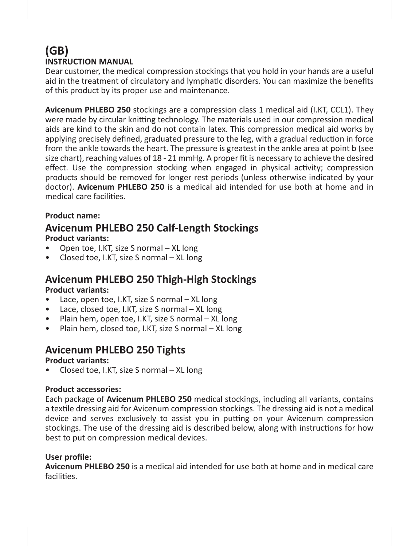### **(GB) INSTRUCTION MANUAL**

Dear customer, the medical compression stockings that you hold in your hands are a useful aid in the treatment of circulatory and lymphatic disorders. You can maximize the benefits of this product by its proper use and maintenance.

**Avicenum PHLEBO 250** stockings are a compression class 1 medical aid (I.KT, CCL1). They were made by circular knitting technology. The materials used in our compression medical aids are kind to the skin and do not contain latex. This compression medical aid works by applying precisely defined, graduated pressure to the leg, with a gradual reduction in force from the ankle towards the heart. The pressure is greatest in the ankle area at point b (see size chart), reaching values of 18 - 21 mmHg. A proper fit is necessary to achieve the desired effect. Use the compression stocking when engaged in physical activity; compression products should be removed for longer rest periods (unless otherwise indicated by your doctor). **Avicenum PHLEBO 250** is a medical aid intended for use both at home and in medical care facilities.

### **Product name:**

### **Avicenum PHLEBO 250 Calf-Length Stockings Product variants:**

- Open toe, I.KT, size S normal XL long
- Closed toe, I.KT, size S normal XL long

### **Avicenum PHLEBO 250 Thigh-High Stockings**

**Product variants:**

- Lace, open toe, I.KT, size S normal XL long
- Lace, closed toe, I.KT, size S normal XL long
- Plain hem, open toe, I.KT, size S normal XL long
- Plain hem, closed toe, I.KT, size S normal XL long

### **Avicenum PHLEBO 250 Tights**

**Product variants:**

• Closed toe, I.KT, size S normal – XL long

### **Product accessories:**

Each package of **Avicenum PHLEBO 250** medical stockings, including all variants, contains a textile dressing aid for Avicenum compression stockings. The dressing aid is not a medical device and serves exclusively to assist you in putting on your Avicenum compression stockings. The use of the dressing aid is described below, along with instructions for how best to put on compression medical devices.

### **User profile:**

**Avicenum PHLEBO 250** is a medical aid intended for use both at home and in medical care facilities.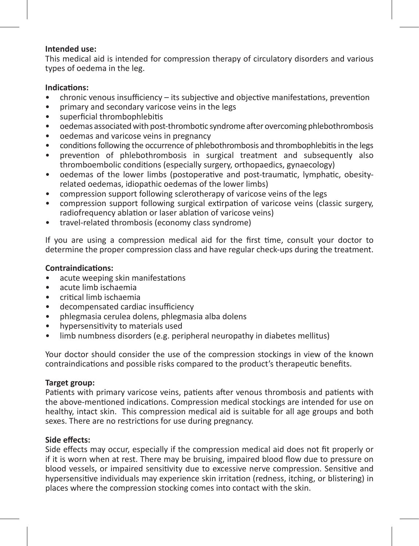### **Intended use:**

This medical aid is intended for compression therapy of circulatory disorders and various types of oedema in the leg.

### **Indications:**

- chronic venous insufficiency its subjective and objective manifestations, prevention
- primary and secondary varicose veins in the legs
- superficial thrombophlebitis
- oedemas associated with post-thrombotic syndrome after overcoming phlebothrombosis
- oedemas and varicose veins in pregnancy
- conditions following the occurrence of phlebothrombosis and thrombophlebitis in the legs
- prevention of phlebothrombosis in surgical treatment and subsequently also thromboembolic conditions (especially surgery, orthopaedics, gynaecology)
- oedemas of the lower limbs (postoperative and post-traumatic, lymphatic, obesityrelated oedemas, idiopathic oedemas of the lower limbs)
- compression support following sclerotherapy of varicose veins of the legs
- compression support following surgical extirpation of varicose veins (classic surgery, radiofrequency ablation or laser ablation of varicose veins)
- travel-related thrombosis (economy class syndrome)

If you are using a compression medical aid for the first time, consult your doctor to determine the proper compression class and have regular check-ups during the treatment.

### **Contraindications:**

- acute weeping skin manifestations
- acute limb ischaemia
- critical limb ischaemia
- decompensated cardiac insufficiency
- phlegmasia cerulea dolens, phlegmasia alba dolens
- hypersensitivity to materials used
- limb numbness disorders (e.g. peripheral neuropathy in diabetes mellitus)

Your doctor should consider the use of the compression stockings in view of the known contraindications and possible risks compared to the product's therapeutic benefits.

### **Target group:**

Patients with primary varicose veins, patients after venous thrombosis and patients with the above-mentioned indications. Compression medical stockings are intended for use on healthy, intact skin. This compression medical aid is suitable for all age groups and both sexes. There are no restrictions for use during pregnancy.

### **Side effects:**

Side effects may occur, especially if the compression medical aid does not fit properly or if it is worn when at rest. There may be bruising, impaired blood flow due to pressure on blood vessels, or impaired sensitivity due to excessive nerve compression. Sensitive and hypersensitive individuals may experience skin irritation (redness, itching, or blistering) in places where the compression stocking comes into contact with the skin.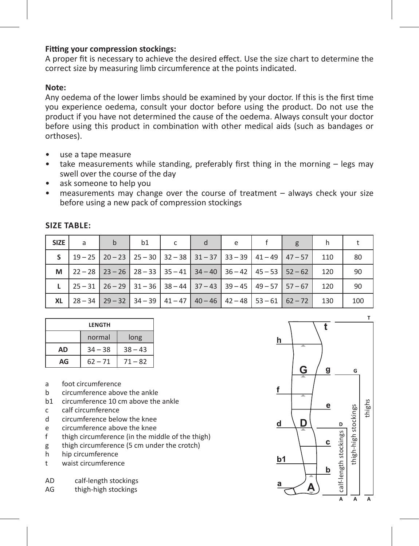### **Fitting your compression stockings:**

A proper fit is necessary to achieve the desired effect. Use the size chart to determine the correct size by measuring limb circumference at the points indicated.

### **Note:**

Any oedema of the lower limbs should be examined by your doctor. If this is the first time you experience oedema, consult your doctor before using the product. Do not use the product if you have not determined the cause of the oedema. Always consult your doctor before using this product in combination with other medical aids (such as bandages or orthoses).

- use a tape measure
- take measurements while standing, preferably first thing in the morning legs may swell over the course of the day
- ask someone to help you
- measurements may change over the course of treatment always check your size before using a new pack of compression stockings

| <b>SIZE</b> | a                                                                             | h | b1 | d | e |                                                                                                                                |     |     |
|-------------|-------------------------------------------------------------------------------|---|----|---|---|--------------------------------------------------------------------------------------------------------------------------------|-----|-----|
|             | $19-25$   20 - 23   25 - 30   32 - 38   31 - 37   33 - 39   41 - 49   47 - 57 |   |    |   |   |                                                                                                                                | 110 | 80  |
| M           |                                                                               |   |    |   |   | $\mid$ 22 - 28 $\mid$ 23 - 26 $\mid$ 28 - 33 $\mid$ 35 - 41 $\mid$ 34 - 40 $\mid$ 36 - 42 $\mid$ 45 - 53 $\mid$ 52 - 62 $\mid$ | 120 | 90  |
|             |                                                                               |   |    |   |   | $\mid$ 25 - 31 $\mid$ 26 - 29 $\mid$ 31 - 36 $\mid$ 38 - 44 $\mid$ 37 - 43 $\mid$ 39 - 45 $\mid$ 49 - 57 $\mid$ 57 - 67 $\mid$ | 120 | 90  |
| XL          |                                                                               |   |    |   |   | $\mid$ 28 - 34 $\mid$ 29 - 32 $\mid$ 34 - 39 $\mid$ 41 - 47 $\mid$ 40 - 46 $\mid$ 42 - 48 $\mid$ 53 - 61 $\mid$ 62 - 72 $\mid$ | 130 | 100 |

#### **Size table:**

| LENGTH |           |           |  |  |  |  |
|--------|-----------|-----------|--|--|--|--|
|        | normal    | long      |  |  |  |  |
| AD     | $34 - 38$ | $38 - 43$ |  |  |  |  |
| AG     | $62 - 71$ | $71 - 82$ |  |  |  |  |

- a foot circumference
- b circumference above the ankle
- b1 circumference 10 cm above the ankle
- c calf circumference
- d circumference below the knee
- e circumference above the knee<br>f thigh circumference (in the min
- thigh circumference (in the middle of the thigh)
- g thigh circumference (5 cm under the crotch)<br>h bin circumference
- h hip circumference
- waist circumference
- AD calf-length stockings
- AG thigh-high stockings

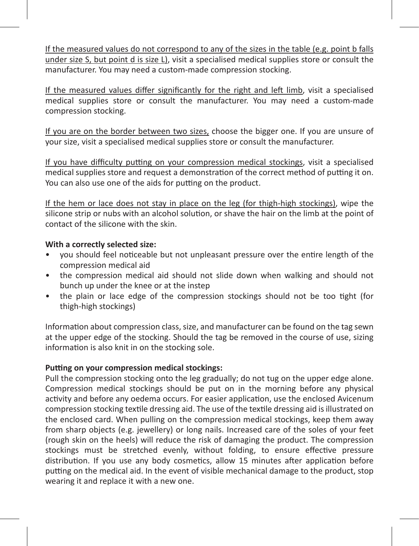If the measured values do not correspond to any of the sizes in the table (e.g. point b falls under size S, but point d is size L), visit a specialised medical supplies store or consult the manufacturer. You may need a custom-made compression stocking.

If the measured values differ significantly for the right and left limb, visit a specialised medical supplies store or consult the manufacturer. You may need a custom-made compression stocking.

If you are on the border between two sizes, choose the bigger one. If you are unsure of your size, visit a specialised medical supplies store or consult the manufacturer.

If you have difficulty putting on your compression medical stockings, visit a specialised medical supplies store and request a demonstration of the correct method of putting it on. You can also use one of the aids for putting on the product.

If the hem or lace does not stay in place on the leg (for thigh-high stockings), wipe the silicone strip or nubs with an alcohol solution, or shave the hair on the limb at the point of contact of the silicone with the skin.

### **With a correctly selected size:**

- you should feel noticeable but not unpleasant pressure over the entire length of the compression medical aid
- the compression medical aid should not slide down when walking and should not bunch up under the knee or at the instep
- the plain or lace edge of the compression stockings should not be too tight (for thigh-high stockings)

Information about compression class, size, and manufacturer can be found on the tag sewn at the upper edge of the stocking. Should the tag be removed in the course of use, sizing information is also knit in on the stocking sole.

### **Putting on your compression medical stockings:**

Pull the compression stocking onto the leg gradually; do not tug on the upper edge alone. Compression medical stockings should be put on in the morning before any physical activity and before any oedema occurs. For easier application, use the enclosed Avicenum compression stocking textile dressing aid. The use of the textile dressing aid is illustrated on the enclosed card. When pulling on the compression medical stockings, keep them away from sharp objects (e.g. jewellery) or long nails. Increased care of the soles of your feet (rough skin on the heels) will reduce the risk of damaging the product. The compression stockings must be stretched evenly, without folding, to ensure effective pressure distribution. If you use any body cosmetics, allow 15 minutes after application before putting on the medical aid. In the event of visible mechanical damage to the product, stop wearing it and replace it with a new one.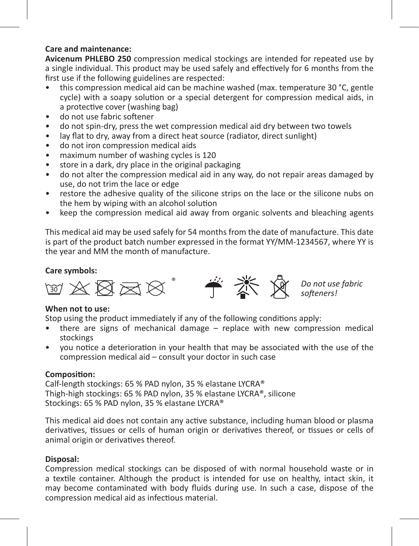### **Care and maintenance:**

**Avicenum PHLEBO 250** compression medical stockings are intended for repeated use by a single individual. This product may be used safely and effectively for 6 months from the first use if the following guidelines are respected:

- this compression medical aid can be machine washed (max. temperature 30 °C, gentle cycle) with a soapy solution or a special detergent for compression medical aids, in a protective cover (washing bag)
- do not use fabric softener
- do not spin-dry, press the wet compression medical aid dry between two towels
- lay flat to dry, away from a direct heat source (radiator, direct sunlight)
- do not iron compression medical aids
- maximum number of washing cycles is 120
- store in a dark, dry place in the original packaging
- do not alter the compression medical aid in any way, do not repair areas damaged by use, do not trim the lace or edge
- restore the adhesive quality of the silicone strips on the lace or the silicone nubs on the hem by wiping with an alcohol solution
- keep the compression medical aid away from organic solvents and bleaching agents

This medical aid may be used safely for 54 months from the date of manufacture. This date is part of the product batch number expressed in the format YY/MM-1234567, where YY is the year and MM the month of manufacture.

### **Care symbols:**



### **When not to use:**

Stop using the product immediately if any of the following conditions apply:

- there are signs of mechanical damage  $-$  replace with new compression medical stockings
- you notice a deterioration in your health that may be associated with the use of the compression medical aid – consult your doctor in such case

### **Composition:**

Calf-length stockings: 65 % PAD nylon, 35 % elastane LYCRA® Thigh-high stockings: 65 % PAD nylon, 35 % elastane LYCRA®, silicone Stockings: 65 % PAD nylon, 35 % elastane LYCRA®

This medical aid does not contain any active substance, including human blood or plasma derivatives, tissues or cells of human origin or derivatives thereof, or tissues or cells of animal origin or derivatives thereof.

### **Disposal:**

Compression medical stockings can be disposed of with normal household waste or in a textile container. Although the product is intended for use on healthy, intact skin, it may become contaminated with body fluids during use. In such a case, dispose of the compression medical aid as infectious material.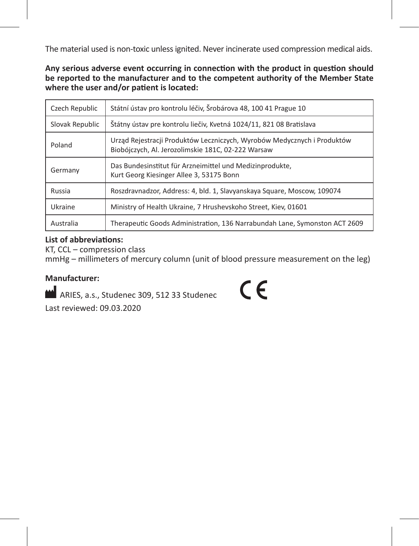The material used is non-toxic unless ignited. Never incinerate used compression medical aids.

**Any serious adverse event occurring in connection with the product in question should be reported to the manufacturer and to the competent authority of the Member State where the user and/or patient is located:**

| Czech Republic  | Státní ústav pro kontrolu léčiv, Šrobárova 48, 100 41 Prague 10                                                               |
|-----------------|-------------------------------------------------------------------------------------------------------------------------------|
| Slovak Republic | Štátny ústav pre kontrolu liečiv, Kvetná 1024/11, 821 08 Bratislava                                                           |
| Poland          | Urząd Rejestracji Produktów Leczniczych, Wyrobów Medycznych i Produktów<br>Biobójczych, Al. Jerozolimskie 181C, 02-222 Warsaw |
| Germany         | Das Bundesinstitut für Arzneimittel und Medizinprodukte,<br>Kurt Georg Kiesinger Allee 3, 53175 Bonn                          |
| Russia          | Roszdravnadzor, Address: 4, bld. 1, Slavyanskaya Square, Moscow, 109074                                                       |
| Ukraine         | Ministry of Health Ukraine, 7 Hrushevskoho Street, Kiev, 01601                                                                |
| Australia       | Therapeutic Goods Administration, 136 Narrabundah Lane, Symonston ACT 2609                                                    |

### **List of abbreviations:**

KT, CCL – compression class mmHg – millimeters of mercury column (unit of blood pressure measurement on the leg)

### **Manufacturer:**

ARIES, a.s., Studenec 309, 512 33 Studenec Last reviewed: 09.03.2020

 $\epsilon$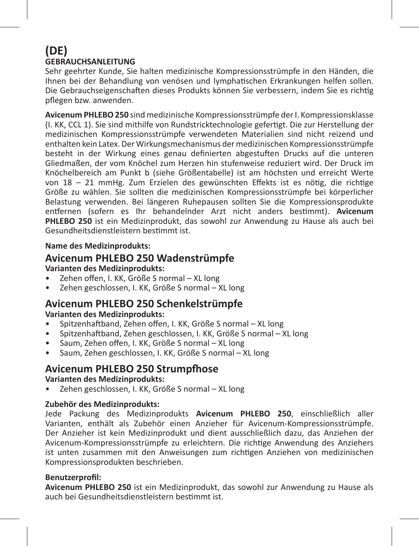### **(DE) GEBRAUCHSANLEITUNG**

Sehr geehrter Kunde, Sie halten medizinische Kompressionsstrümpfe in den Händen, die Ihnen bei der Behandlung von venösen und lymphatischen Erkrankungen helfen sollen. Die Gebrauchseigenschaften dieses Produkts können Sie verbessern, indem Sie es richtig pflegen bzw. anwenden.

**Avicenum PHLEBO 250** sind medizinische Kompressionsstrümpfe der I. Kompressionsklasse (I. KK, CCL 1). Sie sind mithilfe von Rundstricktechnologie gefertigt. Die zur Herstellung der medizinischen Kompressionsstrümpfe verwendeten Materialien sind nicht reizend und enthalten kein Latex. Der Wirkungsmechanismus der medizinischen Kompressionsstrümpfe besteht in der Wirkung eines genau definierten abgestuften Drucks auf die unteren Gliedmaßen, der vom Knöchel zum Herzen hin stufenweise reduziert wird. Der Druck im Knöchelbereich am Punkt b (siehe Größentabelle) ist am höchsten und erreicht Werte von 18 – 21 mmHg. Zum Erzielen des gewünschten Effekts ist es nötig, die richtige Größe zu wählen. Sie sollten die medizinischen Kompressionsstrümpfe bei körperlicher Belastung verwenden. Bei längeren Ruhepausen sollten Sie die Kompressionsprodukte entfernen (sofern es Ihr behandelnder Arzt nicht anders bestimmt). **Avicenum PHLEBO 250** ist ein Medizinprodukt, das sowohl zur Anwendung zu Hause als auch bei Gesundheitsdienstleistern bestimmt ist.

### **Name des Medizinprodukts:**

### **Avicenum PHLEBO 250 Wadenstrümpfe**

### **Varianten des Medizinprodukts:**

- Zehen offen, I. KK, Größe S normal XL long
- Zehen geschlossen, I. KK, Größe S normal XL long

### **Avicenum PHLEBO 250 Schenkelstrümpfe Varianten des Medizinprodukts:**

- Spitzenhaftband, Zehen offen, I. KK, Größe S normal XL long
- Spitzenhaftband, Zehen geschlossen, I. KK, Größe S normal XL long
- Saum, Zehen offen, I. KK, Größe S normal XL long
- Saum, Zehen geschlossen, I. KK, Größe S normal XL long

### **Avicenum PHLEBO 250 Strumpfhose**

### **Varianten des Medizinprodukts:**

• Zehen geschlossen, I. KK, Größe S normal – XL long

### **Zubehör des Medizinprodukts:**

Jede Packung des Medizinprodukts **Avicenum PHLEBO 250**, einschließlich aller Varianten, enthält als Zubehör einen Anzieher für Avicenum-Kompressionsstrümpfe. Der Anzieher ist kein Medizinprodukt und dient ausschließlich dazu, das Anziehen der Avicenum-Kompressionsstrümpfe zu erleichtern. Die richtige Anwendung des Anziehers ist unten zusammen mit den Anweisungen zum richtigen Anziehen von medizinischen Kompressionsprodukten beschrieben.

### **Benutzerprofil:**

**Avicenum PHLEBO 250** ist ein Medizinprodukt, das sowohl zur Anwendung zu Hause als auch bei Gesundheitsdienstleistern bestimmt ist.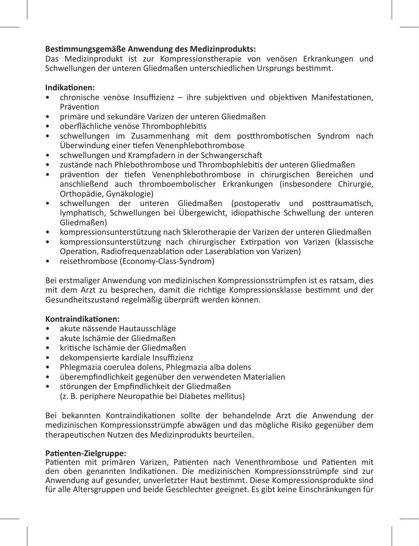### **Bestimmungsgemäße Anwendung des Medizinprodukts:**

Das Medizinprodukt ist zur Kompressionstherapie von venösen Erkrankungen und Schwellungen der unteren Gliedmaßen unterschiedlichen Ursprungs bestimmt.

### **Indikationen:**

- chronische venöse Insuffizienz ihre subjektiven und objektiven Manifestationen, Prävention
- primäre und sekundäre Varizen der unteren Gliedmaßen
- oberflächliche venöse Thrombophlebitis<br>• schwellungen im Zusammenhang mit
- schwellungen im Zusammenhang mit dem postthrombotischen Syndrom nach Überwindung einer tiefen Venenphlebothrombose
- schwellungen und Krampfadern in der Schwangerschaft
- zustände nach Phlebothrombose und Thrombophlebitis der unteren Gliedmaßen
- prävention der tiefen Venenphlebothrombose in chirurgischen Bereichen und anschließend auch thromboembolischer Erkrankungen (insbesondere Chirurgie, Orthopädie, Gynäkologie)
- schwellungen der unteren Gliedmaßen (postoperativ und posttraumatisch, lymphatisch, Schwellungen bei Übergewicht, idiopathische Schwellung der unteren Gliedmaßen)
- kompressionsunterstützung nach Sklerotherapie der Varizen der unteren Gliedmaßen
- kompressionsunterstützung nach chirurgischer Extirpation von Varizen (klassische Operation, Radiofrequenzablation oder Laserablation von Varizen)
- reisethrombose (Economy-Class-Syndrom)

Bei erstmaliger Anwendung von medizinischen Kompressionsstrümpfen ist es ratsam, dies mit dem Arzt zu besprechen, damit die richtige Kompressionsklasse bestimmt und der Gesundheitszustand regelmäßig überprüft werden können.

### **Kontraindikationen:**

- akute nässende Hautausschläge
- akute Ischämie der Gliedmaßen
- kritische Ischämie der Gliedmaßen
- dekompensierte kardiale Insuffizienz
- Phlegmazia coerulea dolens, Phlegmazia alba dolens
- überempfindlichkeit gegenüber den verwendeten Materialien
- störungen der Empfindlichkeit der Gliedmaßen

(z. B. periphere Neuropathie bei Diabetes mellitus)

Bei bekannten Kontraindikationen sollte der behandelnde Arzt die Anwendung der medizinischen Kompressionsstrümpfe abwägen und das mögliche Risiko gegenüber dem therapeutischen Nutzen des Medizinprodukts beurteilen.

### **Patienten-Zielgruppe:**

Patienten mit primären Varizen, Patienten nach Venenthrombose und Patienten mit den oben genannten Indikationen. Die medizinischen Kompressionsstrümpfe sind zur Anwendung auf gesunder, unverletzter Haut bestimmt. Diese Kompressionsprodukte sind für alle Altersgruppen und beide Geschlechter geeignet. Es gibt keine Einschränkungen für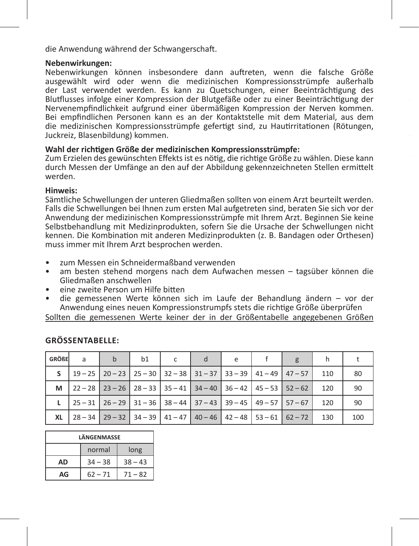die Anwendung während der Schwangerschaft.

### **Nebenwirkungen:**

Nebenwirkungen können insbesondere dann auftreten, wenn die falsche Größe ausgewählt wird oder wenn die medizinischen Kompressionsstrümpfe außerhalb der Last verwendet werden. Es kann zu Quetschungen, einer Beeinträchtigung des Blutflusses infolge einer Kompression der Blutgefäße oder zu einer Beeinträchtigung der Nervenempfindlichkeit aufgrund einer übermäßigen Kompression der Nerven kommen. Bei empfindlichen Personen kann es an der Kontaktstelle mit dem Material, aus dem die medizinischen Kompressionsstrümpfe gefertigt sind, zu Hautirritationen (Rötungen, Juckreiz, Blasenbildung) kommen.

### **Wahl der richtigen Größe der medizinischen Kompressionsstrümpfe:**

Zum Erzielen des gewünschten Effekts ist es nötig, die richtige Größe zu wählen. Diese kann durch Messen der Umfänge an den auf der Abbildung gekennzeichneten Stellen ermittelt werden.

### **Hinweis:**

Sämtliche Schwellungen der unteren Gliedmaßen sollten von einem Arzt beurteilt werden. Falls die Schwellungen bei Ihnen zum ersten Mal aufgetreten sind, beraten Sie sich vor der Anwendung der medizinischen Kompressionsstrümpfe mit Ihrem Arzt. Beginnen Sie keine Selbstbehandlung mit Medizinprodukten, sofern Sie die Ursache der Schwellungen nicht kennen. Die Kombination mit anderen Medizinprodukten (z. B. Bandagen oder Orthesen) muss immer mit Ihrem Arzt besprochen werden.

- zum Messen ein Schneidermaßband verwenden
- am besten stehend morgens nach dem Aufwachen messen tagsüber können die Gliedmaßen anschwellen
- eine zweite Person um Hilfe bitten
- die gemessenen Werte können sich im Laufe der Behandlung ändern vor der Anwendung eines neuen Kompressionstrumpfs stets die richtige Größe überprüfen

Sollten die gemessenen Werte keiner der in der Größentabelle angegebenen Größen

| <b>GRÖßE</b> | a | $\mathbf b$ | b1 | c | e | g                                                                                                                              |     |     |
|--------------|---|-------------|----|---|---|--------------------------------------------------------------------------------------------------------------------------------|-----|-----|
|              |   |             |    |   |   | $19-25$   20 - 23   25 - 30   32 - 38   31 - 37   33 - 39   41 - 49   47 - 57                                                  | 110 | 80  |
| м            |   |             |    |   |   | $\mid$ 22 - 28 $\mid$ 23 - 26 $\mid$ 28 - 33 $\mid$ 35 - 41 $\mid$ 34 - 40 $\mid$ 36 - 42 $\mid$ 45 - 53 $\mid$ 52 - 62 $\mid$ | 120 | 90  |
|              |   |             |    |   |   | $\mid$ 25 - 31 $\mid$ 26 - 29 $\mid$ 31 - 36 $\mid$ 38 - 44 $\mid$ 37 - 43 $\mid$ 39 - 45 $\mid$ 49 - 57 $\mid$ 57 - 67 $\mid$ | 120 | 90  |
| XL           |   |             |    |   |   | $\mid$ 28 – 34 $\mid$ 29 – 32 $\mid$ 34 – 39 $\mid$ 41 – 47 $\mid$ 40 – 46 $\mid$ 42 – 48 $\mid$ 53 – 61 $\mid$ 62 – 72 $\mid$ | 130 | 100 |

### **GröSSentabelle:**

| LÄNGENMASSE                  |                |           |  |  |  |
|------------------------------|----------------|-----------|--|--|--|
|                              | normal<br>long |           |  |  |  |
| AD                           | $34 - 38$      | $38 - 43$ |  |  |  |
| AG<br>$62 - 71$<br>$71 - 82$ |                |           |  |  |  |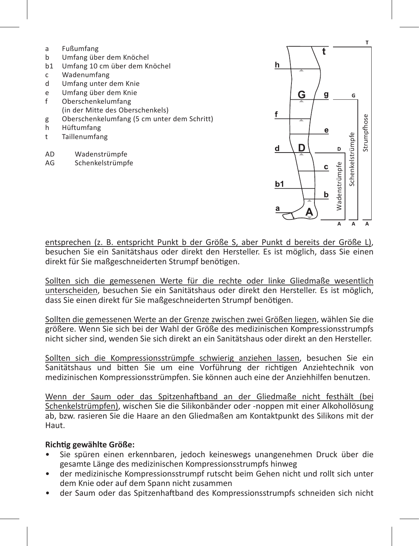| a              | Fußumfang                                   |
|----------------|---------------------------------------------|
| b              | Umfang über dem Knöchel                     |
| b1             | Umfang 10 cm über dem Knöchel               |
| c              | Wadenumfang                                 |
| d              | Umfang unter dem Knie                       |
| e              | Umfang über dem Knie                        |
| f              | Oberschenkelumfang                          |
|                | (in der Mitte des Oberschenkels)            |
| g              | Oberschenkelumfang (5 cm unter dem Schritt) |
| h              | Hüftumfang                                  |
| t              | Taillenumfang                               |
|                |                                             |
| A <sub>D</sub> | Wadenstrümpfe                               |
| AG             | Schenkelstrümpfe                            |
|                |                                             |



entsprechen (z. B. entspricht Punkt b der Größe S, aber Punkt d bereits der Größe L), besuchen Sie ein Sanitätshaus oder direkt den Hersteller. Es ist möglich, dass Sie einen direkt für Sie maßgeschneiderten Strumpf benötigen.

Sollten sich die gemessenen Werte für die rechte oder linke Gliedmaße wesentlich unterscheiden, besuchen Sie ein Sanitätshaus oder direkt den Hersteller. Es ist möglich, dass Sie einen direkt für Sie maßgeschneiderten Strumpf benötigen.

Sollten die gemessenen Werte an der Grenze zwischen zwei Größen liegen, wählen Sie die größere. Wenn Sie sich bei der Wahl der Größe des medizinischen Kompressionsstrumpfs nicht sicher sind, wenden Sie sich direkt an ein Sanitätshaus oder direkt an den Hersteller.

Sollten sich die Kompressionsstrümpfe schwierig anziehen lassen, besuchen Sie ein Sanitätshaus und bitten Sie um eine Vorführung der richtigen Anziehtechnik von medizinischen Kompressionsstrümpfen. Sie können auch eine der Anziehhilfen benutzen.

Wenn der Saum oder das Spitzenhaftband an der Gliedmaße nicht festhält (bei Schenkelstrümpfen), wischen Sie die Silikonbänder oder -noppen mit einer Alkohollösung ab, bzw. rasieren Sie die Haare an den Gliedmaßen am Kontaktpunkt des Silikons mit der Haut.

### **Richtig gewählte Größe:**

- Sie spüren einen erkennbaren, jedoch keineswegs unangenehmen Druck über die gesamte Länge des medizinischen Kompressionsstrumpfs hinweg
- der medizinische Kompressionsstrumpf rutscht beim Gehen nicht und rollt sich unter dem Knie oder auf dem Spann nicht zusammen<br>der Saum oder das Spitzenhaftband des Kompressionsstrumpfs schneiden sich nicht
-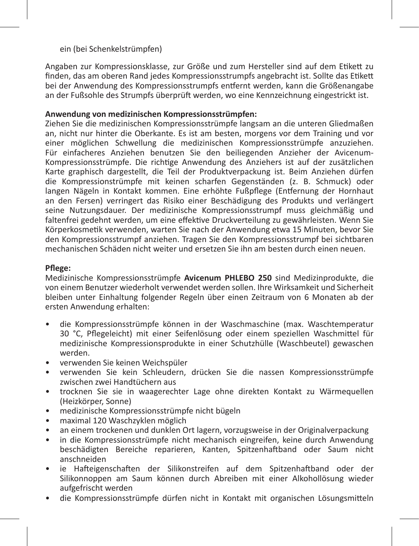### ein (bei Schenkelstrümpfen)

Angaben zur Kompressionsklasse, zur Größe und zum Hersteller sind auf dem Etikett zu finden, das am oberen Rand jedes Kompressionsstrumpfs angebracht ist. Sollte das Etikett bei der Anwendung des Kompressionsstrumpfs entfernt werden, kann die Größenangabe an der Fußsohle des Strumpfs überprüft werden, wo eine Kennzeichnung eingestrickt ist.

### **Anwendung von medizinischen Kompressionsstrümpfen:**

Ziehen Sie die medizinischen Kompressionsstrümpfe langsam an die unteren Gliedmaßen an, nicht nur hinter die Oberkante. Es ist am besten, morgens vor dem Training und vor einer möglichen Schwellung die medizinischen Kompressionsstrümpfe anzuziehen. Für einfacheres Anziehen benutzen Sie den beiliegenden Anzieher der Avicenum-Kompressionsstrümpfe. Die richtige Anwendung des Anziehers ist auf der zusätzlichen Karte graphisch dargestellt, die Teil der Produktverpackung ist. Beim Anziehen dürfen die Kompressionstrümpfe mit keinen scharfen Gegenständen (z. B. Schmuck) oder langen Nägeln in Kontakt kommen. Eine erhöhte Fußpflege (Entfernung der Hornhaut an den Fersen) verringert das Risiko einer Beschädigung des Produkts und verlängert seine Nutzungsdauer. Der medizinische Kompressionsstrumpf muss gleichmäßig und faltenfrei gedehnt werden, um eine effektive Druckverteilung zu gewährleisten. Wenn Sie Körperkosmetik verwenden, warten Sie nach der Anwendung etwa 15 Minuten, bevor Sie den Kompressionsstrumpf anziehen. Tragen Sie den Kompressionsstrumpf bei sichtbaren mechanischen Schäden nicht weiter und ersetzen Sie ihn am besten durch einen neuen.

### **Pflege:**

Medizinische Kompressionsstrümpfe **Avicenum PHLEBO 250** sind Medizinprodukte, die von einem Benutzer wiederholt verwendet werden sollen. Ihre Wirksamkeit und Sicherheit bleiben unter Einhaltung folgender Regeln über einen Zeitraum von 6 Monaten ab der ersten Anwendung erhalten:

- die Kompressionsstrümpfe können in der Waschmaschine (max. Waschtemperatur 30 °C, Pflegeleicht) mit einer Seifenlösung oder einem speziellen Waschmittel für medizinische Kompressionsprodukte in einer Schutzhülle (Waschbeutel) gewaschen werden.
- verwenden Sie keinen Weichspüler
- verwenden Sie kein Schleudern, drücken Sie die nassen Kompressionsstrümpfe zwischen zwei Handtüchern aus
- trocknen Sie sie in waagerechter Lage ohne direkten Kontakt zu Wärmequellen (Heizkörper, Sonne)
- medizinische Kompressionsstrümpfe nicht bügeln
- maximal 120 Waschzyklen möglich
- an einem trockenen und dunklen Ort lagern, vorzugsweise in der Originalverpackung
- in die Kompressionsstrümpfe nicht mechanisch eingreifen, keine durch Anwendung beschädigten Bereiche reparieren, Kanten, Spitzenhaftband oder Saum nicht anschneiden
- ie Hafteigenschaften der Silikonstreifen auf dem Spitzenhaftband oder der Silikonnoppen am Saum können durch Abreiben mit einer Alkohollösung wieder aufgefrischt werden
- die Kompressionsstrümpfe dürfen nicht in Kontakt mit organischen Lösungsmitteln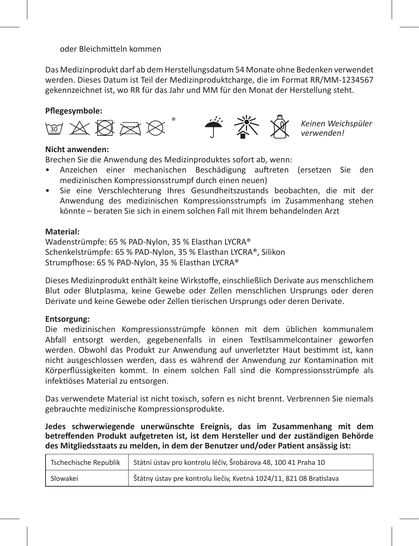oder Bleichmitteln kommen

Das Medizinprodukt darf ab dem Herstellungsdatum 54 Monate ohne Bedenken verwendet werden. Dieses Datum ist Teil der Medizinproduktcharge, die im Format RR/MM-1234567 gekennzeichnet ist, wo RR für das Jahr und MM für den Monat der Herstellung steht.

### **Pflegesymbole:**



*Keinen Weichspüler verwenden!*

### **Nicht anwenden:**

Brechen Sie die Anwendung des Medizinproduktes sofort ab, wenn:

- Anzeichen einer mechanischen Beschädigung auftreten (ersetzen Sie den medizinischen Kompressionsstrumpf durch einen neuen)
- Sie eine Verschlechterung Ihres Gesundheitszustands beobachten, die mit der Anwendung des medizinischen Kompressionsstrumpfs im Zusammenhang stehen könnte – beraten Sie sich in einem solchen Fall mit Ihrem behandelnden Arzt

### **Material:**

Wadenstrümpfe: 65 % PAD-Nylon, 35 % Elasthan LYCRA® Schenkelstrümpfe: 65 % PAD-Nylon, 35 % Elasthan LYCRA®, Silikon Strumpfhose: 65 % PAD-Nylon, 35 % Elasthan LYCRA®

Dieses Medizinprodukt enthält keine Wirkstoffe, einschließlich Derivate aus menschlichem Blut oder Blutplasma, keine Gewebe oder Zellen menschlichen Ursprungs oder deren Derivate und keine Gewebe oder Zellen tierischen Ursprungs oder deren Derivate.

### **Entsorgung:**

Die medizinischen Kompressionsstrümpfe können mit dem üblichen kommunalem Abfall entsorgt werden, gegebenenfalls in einen Textilsammelcontainer geworfen werden. Obwohl das Produkt zur Anwendung auf unverletzter Haut bestimmt ist, kann nicht ausgeschlossen werden, dass es während der Anwendung zur Kontamination mit Körperflüssigkeiten kommt. In einem solchen Fall sind die Kompressionsstrümpfe als infektiöses Material zu entsorgen.

Das verwendete Material ist nicht toxisch, sofern es nicht brennt. Verbrennen Sie niemals gebrauchte medizinische Kompressionsprodukte.

**Jedes schwerwiegende unerwünschte Ereignis, das im Zusammenhang mit dem betreffenden Produkt aufgetreten ist, ist dem Hersteller und der zuständigen Behörde des Mitgliedsstaats zu melden, in dem der Benutzer und/oder Patient ansässig ist:** 

|          | Tschechische Republik   Státní ústav pro kontrolu léčiv, Šrobárova 48, 100 41 Praha 10 |
|----------|----------------------------------------------------------------------------------------|
| Slowakei | Štátny ústav pre kontrolu liečiv, Kvetná 1024/11, 821 08 Bratislava                    |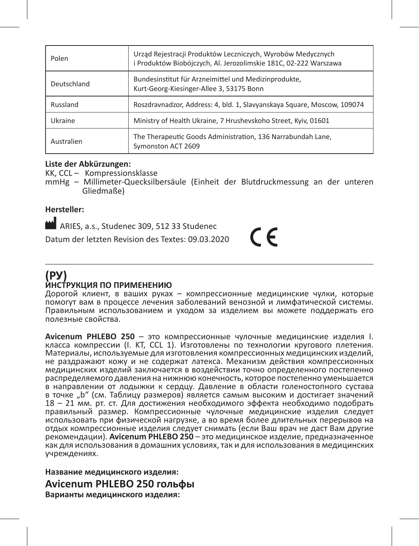| Polen       | Urząd Rejestracji Produktów Leczniczych, Wyrobów Medycznych<br>i Produktów Biobójczych, Al. Jerozolimskie 181C, 02-222 Warszawa |
|-------------|---------------------------------------------------------------------------------------------------------------------------------|
| Deutschland | Bundesinstitut für Arzneimittel und Medizinprodukte,<br>Kurt-Georg-Kiesinger-Allee 3, 53175 Bonn                                |
| Russland    | Roszdravnadzor, Address: 4, bld. 1, Slavyanskaya Square, Moscow, 109074                                                         |
| Ukraine     | Ministry of Health Ukraine, 7 Hrushevskoho Street, Kyiv, 01601                                                                  |
| Australien  | The Therapeutic Goods Administration, 136 Narrabundah Lane.<br>Symonston ACT 2609                                               |

### **Liste der Abkürzungen:**

KK, CCL – Kompressionsklasse

mmHg – Millimeter-Quecksilbersäule (Einheit der Blutdruckmessung an der unteren Gliedmaße)

 $\epsilon$ 

### **Hersteller:**

ARIES, a.s., Studenec 309, 512 33 Studenec

Datum der letzten Revision des Textes: 09.03.2020

# **(РУ)**

### **ИНСТРУКЦИЯ ПО ПРИМЕНЕНИЮ**

Дорогой клиент, в ваших руках – компрессионные медицинские чулки, которые помогут вам в процессе лечения заболеваний венозной и лимфатической системы. Правильным использованием и уходом за изделием вы можете поддержать его полезные свойства.

**Avicenum PHLEBO 250** – это компрессионные чулочные медицинские изделия I. класса компрессии (I. KT, CCL 1). Изготовлены по технологии кругового плетения. Материалы, используемые для изготовления компрессионных медицинских изделий, не раздражают кожу и не содержат латекса. Механизм действия компрессионных медицинских изделий заключается в воздействии точно определенного постепенно распределяемого давления на нижнюю конечность, которое постепенно уменьшается в направлении от лодыжки к сердцу. Давление в области голеностопного сустава в точке "b" (см. Таблицу размеров) является самым высоким и достигает значений 18 – 21 мм. рт. ст. Для достижения необходимого эффекта необходимо подобрать правильный размер. Компрессионные чулочные медицинские изделия следует использовать при физической нагрузке, а во время более длительных перерывов на отдых компрессионные изделия следует снимать (если Ваш врач не даст Вам другие рекомендации). **Avicenum PHLEBO 250** – это медицинское изделие, предназначенное как для использования в домашних условиях, так и для использования в медицинских учреждениях.

**Название медицинского изделия: Avicenum PHLEBO 250 гольфы Варианты медицинского изделия:**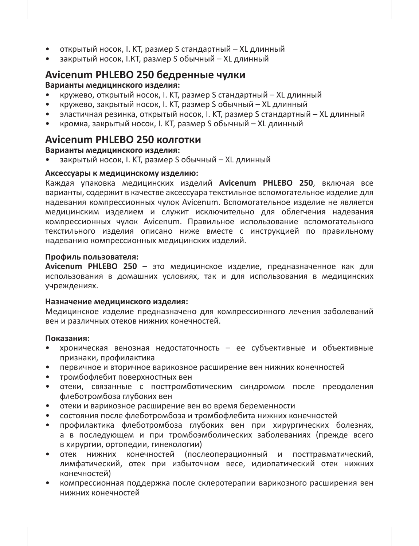- открытый носок, I. KT, размер S стандартный XL длинный
- закрытый носок, I.КТ, размер S обычный XL длинный

### **Avicenum PHLEBO 250 бедренные чулки**

### **Варианты медицинского изделия:**

- кружево, открытый носок, I. KT, размер S стандартный XL длинный
- кружево, закрытый носок, I. KT, размер S обычный XL длинный
- эластичная резинка, открытый носок, I. KT, размер S стандартный XL длинный
- кромка, закрытый носок, I. KT, размер S обычный XL длинный

### **Avicenum PHLEBO 250 колготки**

### **Варианты медицинского изделия:**

• закрытый носок, I. KT, размер S обычный – XL длинный

### **Аксессуары к медицинскому изделию:**

Каждая упаковка медицинских изделий **Avicenum PHLEBO 250**, включая все варианты, содержит в качестве аксессуара текстильное вспомогательное изделие для надевания компрессионных чулок Avicenum. Вспомогательное изделие не является медицинским изделием и служит исключительно для облегчения надевания компрессионных чулок Avicenum. Правильное использование вспомогательного текстильного изделия описано ниже вместе с инструкцией по правильному надеванию компрессионных медицинских изделий.

### **Профиль пользователя:**

**Avicenum PHLEBO 250** – это медицинское изделие, предназначенное как для использования в домашних условиях, так и для использования в медицинских учреждениях.

### **Назначение медицинского изделия:**

Медицинское изделие предназначено для компрессионного лечения заболеваний вен и различных отеков нижних конечностей.

#### **Показания:**

- хроническая венозная недостаточность ее субъективные и объективные признаки, профилактика
- первичное и вторичное варикозное расширение вен нижних конечностей
- тромбофлебит поверхностных вен
- отеки, связанные с посттромботическим синдромом после преодоления флеботромбоза глубоких вен
- отеки и варикозное расширение вен во время беременности
- состояния после флеботромбоза и тромбофлебита нижних конечностей
- профилактика флеботромбоза глубоких вен при хирургических болезнях, а в последующем и при тромбоэмболических заболеваниях (прежде всего в хирургии, ортопедии, гинекологии)
- отек нижних конечностей (послеоперационный и посттравматический, лимфатический, отек при избыточном весе, идиопатический отек нижних конечностей)
- компрессионная поддержка после склеротерапии варикозного расширения вен нижних конечностей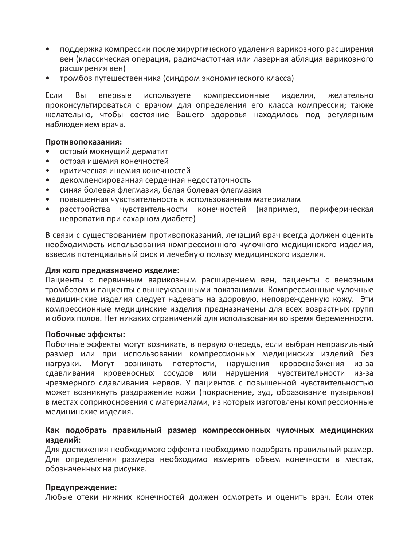- поддержка компрессии после хирургического удаления варикозного расширения вен (классическая операция, радиочастотная или лазерная абляция варикозного расширения вен)
- тромбоз путешественника (синдром экономического класса)

Если Вы впервые используете компрессионные изделия, желательно проконсультироваться с врачом для определения его класса кoмпрессии; также желательно, чтобы состояние Вашего здоровья находилось под регулярным наблюдением врача.

### **Противопоказания:**

- острый мокнущий дерматит
- острая ишемия конечностей
- критическая ишемия конечностей
- декомпенсированная сердечная недостаточность
- синяя болевая флегмазия, белая болевая флегмазия
- повышенная чувствительность к использованным материалам
- расстройства чувствительности конечностей (например, периферическая невропатия при сахарном диабете)

В связи с существованием противопоказаний, лечащий врач всегда должен оценить необходимость использования компрессионного чулочного медицинского изделия, взвесив потенциальный риск и лечебную пользу медицинского изделия.

### **Для кого предназначено изделие:**

Пациенты с первичным варикозным расширением вен, пациенты с венозным тромбозом и пациенты с вышеуказанными показаниями. Компрессионные чулочные медицинские изделия следует надевать на здоровую, неповрежденную кожу. Эти компрессионные медицинские изделия предназначены для всех возрастных групп и обоих полов. Нет никаких ограничений для использования во время беременности.

### **Побочные эффекты:**

Побочные эффекты могут возникать, в первую очередь, если выбран неправильный размер или при использовании компрессионных медицинских изделий без нагрузки. Могут возникать потертости, нарушения кровоснабжения из-за сдавливания кровеносных сосудов или нарушения чувствительности из-за чрезмерного сдавливания нервов. У пациентов с повышенной чувствительностью может возникнуть раздражение кожи (покраснение, зуд, образование пузырьков) в местах соприкосновения с материалами, из которых изготовлены компрессионные медицинские изделия.

### **Как подобрать правильный размер компрессионных чулочных медицинских изделий:**

Для достижения необходимого эффекта необходимо подобрать правильный размер. Для определения размера необходимо измерить объем конечности в местах, обозначенных на рисунке.

#### **Предупреждение:**

Любые отеки нижних конечностей должен осмотреть и оценить врач. Если отек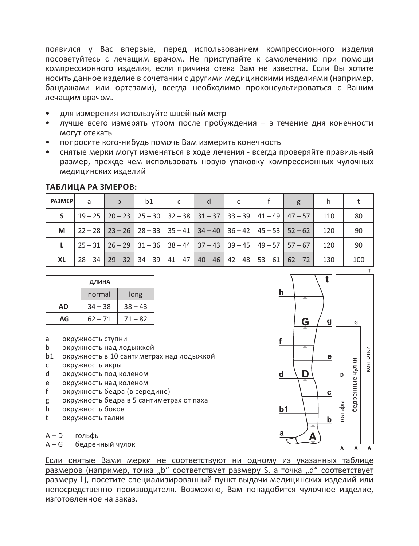появился у Вас впервые, перед использованием компрессионного изделия посоветуйтесь с лечащим врачом. Не приступайте к самолечению при помощи компрессионного изделия, если причина отека Вам не известна. Если Вы хотите носить данное изделие в сочетании с другими медицинскими изделиями (например, бандажами или ортезами), всегда необходимо проконсультироваться с Вашим лечащим врачом.

- для измерения используйте швейный метр
- лучше всего измерять утром после пробуждения в течение дня конечности могут отекать
- попросите кого-нибудь помочь Вам измерить конечность
- снятые мерки могут изменяться в ходе лечения всегда проверяйте правильный размер, прежде чем использовать новую упаковку компрессионных чулочных медицинских изделий

| <b>PA3MEP</b> | a | b | b1 | d | e |                                                                                                                                |     |     |
|---------------|---|---|----|---|---|--------------------------------------------------------------------------------------------------------------------------------|-----|-----|
| s.            |   |   |    |   |   | $\mid$ 19 - 25 $\mid$ 20 - 23 $\mid$ 25 - 30 $\mid$ 32 - 38 $\mid$ 31 - 37 $\mid$ 33 - 39 $\mid$ 41 - 49 $\mid$ 47 - 57 $\mid$ | 110 | 80  |
| М             |   |   |    |   |   | $22 - 28$   23 - 26   28 - 33   35 - 41   34 - 40   36 - 42   45 - 53   52 - 62                                                | 120 | 90  |
|               |   |   |    |   |   | $25 - 31$   26 - 29   31 - 36   38 - 44   37 - 43   39 - 45   49 - 57   57 - 67                                                | 120 | 90  |
| XL            |   |   |    |   |   | $28-34$   29 - 32   34 - 39   41 - 47   40 - 46   42 - 48   53 - 61   62 - 72                                                  | 130 | 100 |

#### **Таблица ра змеров:**

| ДЛИНА |           |           |  |  |  |  |
|-------|-----------|-----------|--|--|--|--|
|       | normal    | long      |  |  |  |  |
| AD    | $34 - 38$ | $38 - 43$ |  |  |  |  |
| AG    | $62 - 71$ | $71 - 82$ |  |  |  |  |

- a окружность ступни<br>h окружность нал до
- b окружность над лодыжкой
- b1 окружность в 10 сантиметрах над лодыжкой
- c окружность икры
- d окружность под коленом
- e окружность над коленом
- f окружность бедра (в середине)
- g окружность бедра в 5 сантиметрах от паха<br>h окружность боков
- окружность боков
- t окружность талии

A – D гольфы

A – G бедренный чулок



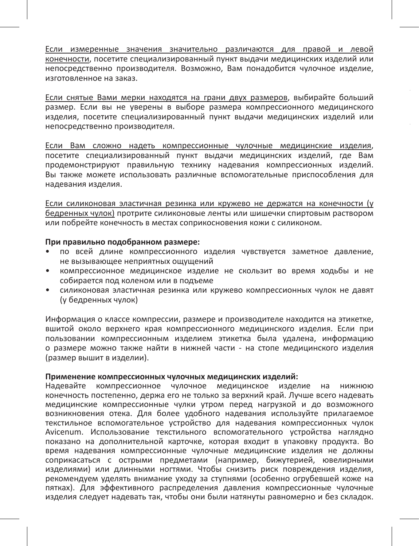Если измеренные значения значительно различаются для правой и левой конечности, посетите специализированный пункт выдачи медицинских изделий или непосредственно производителя. Возможно, Вам понадобится чулочное изделие, изготовленное на заказ.

Если снятые Вами мерки находятся на грани двух размеров, выбирайте больший размер. Если вы не уверены в выборе размера компрессионного медицинского изделия, посетите специализированный пункт выдачи медицинских изделий или непосредственно производителя.

Если Вам сложно надеть компрессионные чулочные медицинские изделия, посетите специализированный пункт выдачи медицинских изделий, где Вам продемонстрируют правильную технику надевания компрессионных изделий. Вы также можете использовать различные вспомогательные приспособления для надевания изделия.

Если силиконовая эластичная резинка или кружево не держатся на конечности (у бедренных чулок) протрите силиконовые ленты или шишечки спиртовым раствором или побрейте конечность в местах соприкосновения кожи с силиконом.

# **При правильно подобранном размере:**

- по всей длине компрессионного изделия чувствуется заметное давление, не вызывающее неприятных ощущений
- компрессионное медицинское изделие не скользит во время ходьбы и не собирается под коленом или в подъеме
- силиконовая эластичная резинка или кружево компрессионных чулок не давят (у бедренных чулок)

Информация о классе компрессии, размере и производителе находится на этикетке, вшитой около верхнего края компрессионного медицинского изделия. Если при пользовании компрессионным изделием этикетка была удалена, информацию о размере можно также найти в нижней части - на стопе медицинского изделия (размер вышит в изделии).

#### **Применение компрессионных чулочных медицинских изделий:**

Надевайте компрессионное чулочное медицинское изделие на нижнюю конечность постепенно, держа его не только за верхний край. Лучше всего надевать медицинские компрессионные чулки утром перед нагрузкой и до возможного возникновения отека. Для более удобного надевания используйте прилагаемое текстильное вспомогательное устройство для надевания компрессионных чулок Avicenum. Использование текстильного вспомогательного устройства наглядно показано на дополнительной карточке, которая входит в упаковку продукта. Во время надевания компрессионные чулочные медицинские изделия не должны соприкасаться с острыми предметами (например, бижутерией, ювелирными изделиями) или длинными ногтями. Чтобы снизить риск повреждения изделия, рекомендуем уделять внимание уходу за ступнями (особенно огрубевшей коже на пятках). Для эффективного распределения давления компрессионные чулочные изделия следует надевать так, чтобы они были натянуты равномерно и без складок.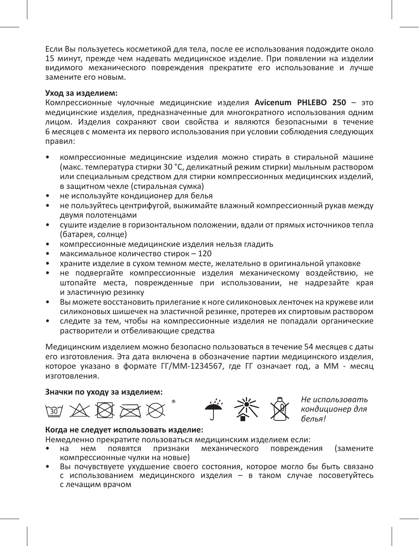Если Вы пользуетесь косметикой для тела, после ее использования подождите около 15 минут, прежде чем надевать медицинское изделие. При появлении на изделии видимого механического повреждения прекратите его использование и лучше замените его новым.

#### **Уход за изделием:**

Компрессионные чулочные медицинские изделия **Avicenum PHLEBO 250** – это медицинские изделия, предназначенные для многократного использования одним лицом. Изделия сохраняют свои свойства и являются безопасными в течение 6 месяцев с момента их первого использования при условии соблюдения следующих правил:

- компрессионные медицинские изделия можно стирать в стиральной машине (макс. температура стирки 30 °C, деликатный режим стирки) мыльным раствором или специальным средством для стирки компрессионных медицинских изделий, в защитном чехле (стиральная сумка)
- не используйте кондиционер для белья
- не пользуйтесь центрифугой, выжимайте влажный компрессионный рукав между двумя полотенцами
- сушите изделие в горизонтальном положении, вдали от прямых источников тепла (батарея, солнце)
- компрессионные медицинские изделия нельзя гладить
- максимальное количество стирок 120
- храните изделие в сухом темном месте, желательно в оригинальной упаковке
- не подвергайте компрессионные изделия механическому воздействию, не штопайте места, поврежденные при использовании, не надрезайте края и эластичную резинку
- Вы можете восстановить прилегание к ноге силиконовых ленточек на кружеве или силиконовых шишечек на эластичной резинке, протерев их спиртовым раствором
- следите за тем, чтобы на компрессионные изделия не попадали органические растворители и отбеливающие средства

Медицинским изделием можно безопасно пользоваться в течение 54 месяцев с даты его изготовления. Эта дата включена в обозначение партии медицинского изделия, которое указано в формате ГГ/MM-1234567, где ГГ означает год, а MM - месяц изготовления.

### **Значки по уходу за изделием:**





*Не использовать кондиционер для белья!*

#### **Когда не следует использовать изделие:**

Немедленно прекратите пользоваться медицинским изделием если:

- на нем появятся признаки механического повреждения (замените компрессионные чулки на новые)
- Вы почувствуете ухудшение своего состояния, которое могло бы быть связано с использованием медицинского изделия – в таком случае посоветуйтесь с лечащим врачом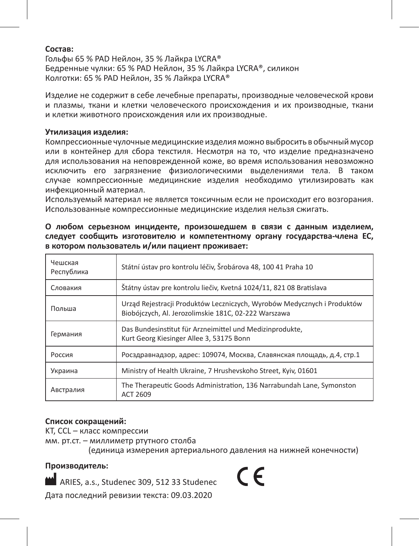### **Состав:**

Гольфы 65 % PAD Нейлон, 35 % Лайкра LYCRA® Бедренные чулки: 65 % PAD Нейлон, 35 % Лайкра LYCRA®, силикон Колготки: 65 % PAD Нейлон, 35 % Лайкра LYCRA®

Изделие не содержит в себе лечебные препараты, производные человеческой крови и плазмы, ткани и клетки человеческого происхождения и их производные, ткани и клетки животного происхождения или их производные.

#### **Утилизация изделия:**

Компрессионные чулочные медицинские изделия можно выбросить в обычный мусор или в контейнер для сбора текстиля. Несмотря на то, что изделие предназначено для использования на неповрежденной коже, во время использования невозможно исключить его загрязнение физиологическими выделениями тела. В таком случае компрессионные медицинские изделия необходимо утилизировать как инфекционный материал.

Используемый материал не является токсичным если не происходит его возгорания. Использованные компрессионные медицинские изделия нельзя сжигать.

**О любом серьезном инциденте, произошедшем в связи с данным изделием, следует сообщить изготовителю и компетентному органу государства-члена ЕС, в котором пользователь и/или пациент проживает:** 

| Чешская<br>Республика | Státní ústav pro kontrolu léčiv. Šrobárova 48. 100 41 Praha 10                                                                  |
|-----------------------|---------------------------------------------------------------------------------------------------------------------------------|
| Словакия              | Štátny ústav pre kontrolu liečiy. Kvetná 1024/11. 821 08 Bratislava                                                             |
| Польша                | Urząd Rejestracji Produktów Leczniczych, Wyrobów Medycznych i Produktów<br>Biobójczych, Al. Jerozolimskie 181C, 02-222 Warszawa |
| Германия              | Das Bundesinstitut für Arzneimittel und Medizinprodukte,<br>Kurt Georg Kiesinger Allee 3, 53175 Bonn                            |
| Россия                | Росздравнадзор, адрес: 109074, Москва, Славянская площадь, д.4, стр.1                                                           |
| Украина               | Ministry of Health Ukraine, 7 Hrusheyskoho Street, Kviv, 01601                                                                  |
| Австралия             | The Therapeutic Goods Administration, 136 Narrabundah Lane, Symonston<br>ACT 2609                                               |

### **Список сокращений:**

KT, CCL – класс компрессии

мм. рт.ст. – миллиметр ртутного столба

(единица измерения артериального давления на нижней конечности)

### **Производитель:**

ARIES, a.s., Studenec 309, 512 33 Studenec Дата последний ревизии текста: 09.03.2020

 $\epsilon$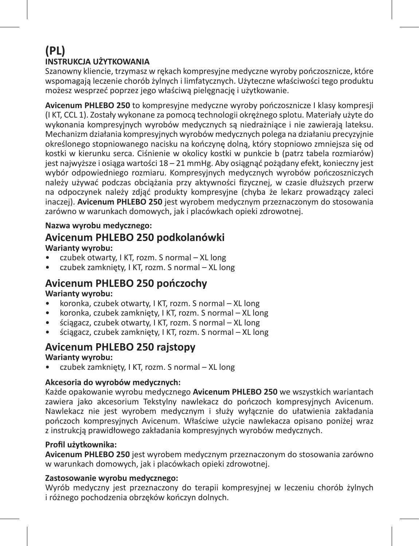# **(PL) INSTRUKCJA UŻYTKOWANIA**

Szanowny kliencie, trzymasz w rękach kompresyjne medyczne wyroby pończosznicze, które wspomagają leczenie chorób żylnych i limfatycznych. Użyteczne właściwości tego produktu możesz wesprzeć poprzez jego właściwą pielęgnację i użytkowanie.

**Avicenum PHLEBO 250** to kompresyjne medyczne wyroby pończosznicze I klasy kompresji (I KT, CCL 1). Zostały wykonane za pomocą technologii okrężnego splotu. Materiały użyte do wykonania kompresyjnych wyrobów medycznych są niedrażniące i nie zawierają lateksu. Mechanizm działania kompresyjnych wyrobów medycznych polega na działaniu precyzyjnie określonego stopniowanego nacisku na kończynę dolną, który stopniowo zmniejsza się od kostki w kierunku serca. Ciśnienie w okolicy kostki w punkcie b (patrz tabela rozmiarów) jest najwyższe i osiąga wartości 18 – 21 mmHg. Aby osiągnąć pożądany efekt, konieczny jest wybór odpowiedniego rozmiaru. Kompresyjnych medycznych wyrobów pończoszniczych należy używać podczas obciążania przy aktywności fizycznej, w czasie dłuższych przerw na odpoczynek należy zdjąć produkty kompresyjne (chyba że lekarz prowadzący zaleci inaczej). **Avicenum PHLEBO 250** jest wyrobem medycznym przeznaczonym do stosowania zarówno w warunkach domowych, jak i placówkach opieki zdrowotnej.

### **Nazwa wyrobu medycznego:**

# **Avicenum PHLEBO 250 podkolanówki**

### **Warianty wyrobu:**

- czubek otwarty, I KT, rozm. S normal XL long
- czubek zamknięty, I KT, rozm. S normal XL long

# **Avicenum PHLEBO 250 pończochy**

### **Warianty wyrobu:**

- koronka, czubek otwarty, I KT, rozm. S normal XL long
- koronka, czubek zamknięty, I KT, rozm. S normal XL long
- ściągacz, czubek otwarty, I KT, rozm. S normal XL long
- ściągacz, czubek zamknięty, I KT, rozm. S normal XL long

### **Avicenum PHLEBO 250 rajstopy**

### **Warianty wyrobu:**

• czubek zamknięty, I KT, rozm. S normal – XL long

### **Akcesoria do wyrobów medycznych:**

Każde opakowanie wyrobu medycznego **Avicenum PHLEBO 250** we wszystkich wariantach zawiera jako akcesorium Tekstylny nawlekacz do pończoch kompresyjnych Avicenum. Nawlekacz nie jest wyrobem medycznym i służy wyłącznie do ułatwienia zakładania pończoch kompresyjnych Avicenum. Właściwe użycie nawlekacza opisano poniżej wraz z instrukcją prawidłowego zakładania kompresyjnych wyrobów medycznych.

### **Profil użytkownika:**

**Avicenum PHLEBO 250** jest wyrobem medycznym przeznaczonym do stosowania zarówno w warunkach domowych, jak i placówkach opieki zdrowotnej.

### **Zastosowanie wyrobu medycznego:**

Wyrób medyczny jest przeznaczony do terapii kompresyjnej w leczeniu chorób żylnych i różnego pochodzenia obrzęków kończyn dolnych.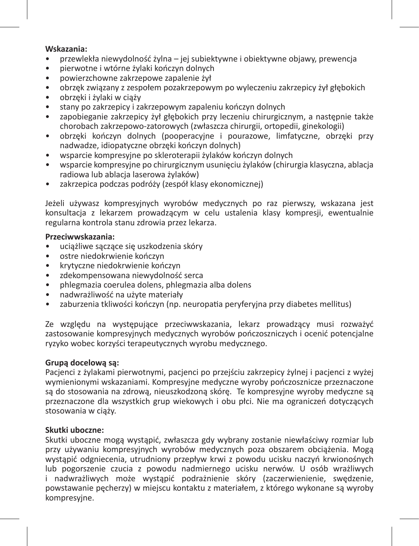### **Wskazania:**

- przewlekła niewydolność żylna jej subiektywne i obiektywne objawy, prewencja
- pierwotne i wtórne żylaki kończyn dolnych
- powierzchowne zakrzepowe zapalenie żył
- obrzęk związany z zespołem pozakrzepowym po wyleczeniu zakrzepicy żył głębokich
- obrzęki i żylaki w ciąży
- stany po zakrzepicy i zakrzepowym zapaleniu kończyn dolnych
- zapobieganie zakrzepicy żył głębokich przy leczeniu chirurgicznym, a następnie także chorobach zakrzepowo-zatorowych (zwłaszcza chirurgii, ortopedii, ginekologii)
- obrzęki kończyn dolnych (pooperacyjne i pourazowe, limfatyczne, obrzęki przy nadwadze, idiopatyczne obrzęki kończyn dolnych)
- wsparcie kompresyjne po skleroterapii żylaków kończyn dolnych
- wsparcie kompresyjne po chirurgicznym usunięciu żylaków (chirurgia klasyczna, ablacja radiowa lub ablacja laserowa żylaków)
- zakrzepica podczas podróży (zespół klasy ekonomicznej)

Jeżeli używasz kompresyjnych wyrobów medycznych po raz pierwszy, wskazana jest konsultacja z lekarzem prowadzącym w celu ustalenia klasy kompresji, ewentualnie regularna kontrola stanu zdrowia przez lekarza.

### **Przeciwwskazania:**

- uciążliwe sączące się uszkodzenia skóry
- ostre niedokrwienie kończyn
- krytyczne niedokrwienie kończyn
- zdekompensowana niewydolność serca
- phlegmazia coerulea dolens, phlegmazia alba dolens
- nadwrażliwość na użyte materiały
- zaburzenia tkliwości kończyn (np. neuropatia peryferyjna przy diabetes mellitus)

Ze względu na występujące przeciwwskazania, lekarz prowadzący musi rozważyć zastosowanie kompresyjnych medycznych wyrobów pończoszniczych i ocenić potencjalne ryzyko wobec korzyści terapeutycznych wyrobu medycznego.

### **Grupą docelową są:**

Pacjenci z żylakami pierwotnymi, pacjenci po przejściu zakrzepicy żylnej i pacjenci z wyżej wymienionymi wskazaniami. Kompresyjne medyczne wyroby pończosznicze przeznaczone są do stosowania na zdrową, nieuszkodzoną skórę. Te kompresyjne wyroby medyczne są przeznaczone dla wszystkich grup wiekowych i obu płci. Nie ma ograniczeń dotyczących stosowania w ciąży.

### **Skutki uboczne:**

Skutki uboczne mogą wystąpić, zwłaszcza gdy wybrany zostanie niewłaściwy rozmiar lub przy używaniu kompresyjnych wyrobów medycznych poza obszarem obciążenia. Mogą wystąpić odgniecenia, utrudniony przepływ krwi z powodu ucisku naczyń krwionośnych lub pogorszenie czucia z powodu nadmiernego ucisku nerwów. U osób wrażliwych i nadwrażliwych może wystąpić podrażnienie skóry (zaczerwienienie, swędzenie, powstawanie pęcherzy) w miejscu kontaktu z materiałem, z którego wykonane są wyroby kompresyjne.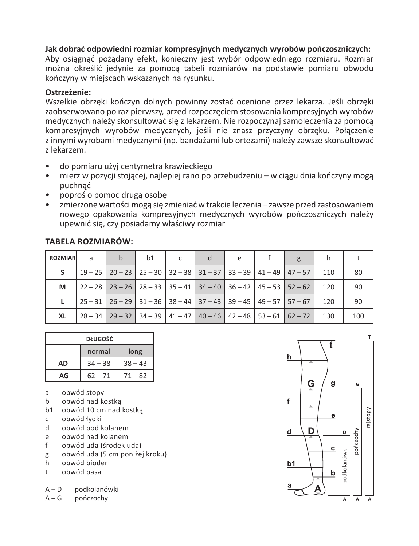**Jak dobrać odpowiedni rozmiar kompresyjnych medycznych wyrobów pończoszniczych:**  Aby osiągnąć pożądany efekt, konieczny jest wybór odpowiedniego rozmiaru. Rozmiar można określić jedynie za pomocą tabeli rozmiarów na podstawie pomiaru obwodu kończyny w miejscach wskazanych na rysunku.

### **Ostrzeżenie:**

Wszelkie obrzęki kończyn dolnych powinny zostać ocenione przez lekarza. Jeśli obrzęki zaobserwowano po raz pierwszy, przed rozpoczęciem stosowania kompresyjnych wyrobów medycznych należy skonsultować się z lekarzem. Nie rozpoczynaj samoleczenia za pomocą kompresyjnych wyrobów medycznych, jeśli nie znasz przyczyny obrzęku. Połączenie z innymi wyrobami medycznymi (np. bandażami lub ortezami) należy zawsze skonsultować z lekarzem.

- do pomiaru użyj centymetra krawieckiego
- mierz w pozycji stojącej, najlepiej rano po przebudzeniu w ciągu dnia kończyny mogą puchnąć
- poproś o pomoc drugą osobę
- zmierzone wartości mogą się zmieniać w trakcie leczenia zawsze przed zastosowaniem nowego opakowania kompresyjnych medycznych wyrobów pończoszniczych należy upewnić się, czy posiadamy właściwy rozmiar

| <b>TABELA ROZMIAROW:</b> |  |
|--------------------------|--|
|--------------------------|--|

| <b>ROZMIAR</b> | a | $\mathbf b$ | h1 |  | e | g                                                                               |     |     |
|----------------|---|-------------|----|--|---|---------------------------------------------------------------------------------|-----|-----|
| s.             |   |             |    |  |   | 19 - 25   20 - 23   25 - 30   32 - 38   31 - 37   33 - 39   41 - 49   47 - 57   | 110 | 80  |
| М              |   |             |    |  |   | $22 - 28$   23 - 26   28 - 33   35 - 41   34 - 40   36 - 42   45 - 53   52 - 62 | 120 | 90  |
|                |   |             |    |  |   | 25 - 31   26 - 29   31 - 36   38 - 44   37 - 43   39 - 45   49 - 57   57 - 67   | 120 | 90  |
| XL             |   |             |    |  |   | $28 - 34$   29 - 32   34 - 39   41 - 47   40 - 46   42 - 48   53 - 61   62 - 72 | 130 | 100 |

| <b>DŁUGOŚĆ</b> |           |           |  |  |  |  |
|----------------|-----------|-----------|--|--|--|--|
|                | normal    | long      |  |  |  |  |
| AD             | $34 - 38$ | $38 - 43$ |  |  |  |  |
| AG             | $62 - 71$ | $71 - 82$ |  |  |  |  |

- a obwód stopy<br>b obwód nad ko
- b obwód nad kostką
- b1 obwód 10 cm nad kostką
- c obwód łydki
- d obwód pod kolanem
- e obwód nad kolanem
- f obwód uda (środek uda)
- g obwód uda (5 cm poniżej kroku)
- h obwód bioder
- t obwód pasa
- A D podkolanówki
- A G pończochy

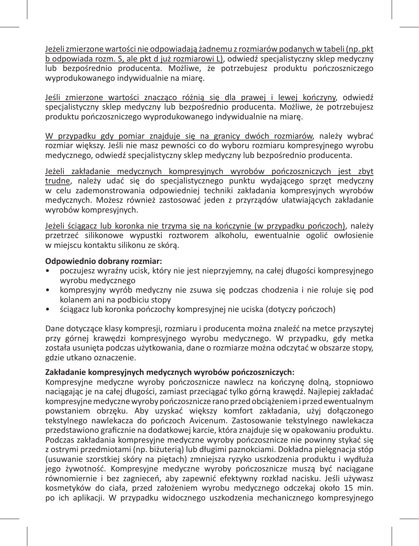Jeżeli zmierzone wartości nie odpowiadają żadnemu z rozmiarów podanych w tabeli (np. pkt b odpowiada rozm. S, ale pkt d już rozmiarowi L), odwiedź specjalistyczny sklep medyczny lub bezpośrednio producenta. Możliwe, że potrzebujesz produktu pończoszniczego wyprodukowanego indywidualnie na miarę.

Jeśli zmierzone wartości znacząco różnią się dla prawej i lewej kończyny, odwiedź specjalistyczny sklep medyczny lub bezpośrednio producenta. Możliwe, że potrzebujesz produktu pończoszniczego wyprodukowanego indywidualnie na miarę.

W przypadku gdy pomiar znajduje się na granicy dwóch rozmiarów, należy wybrać rozmiar większy. Jeśli nie masz pewności co do wyboru rozmiaru kompresyjnego wyrobu medycznego, odwiedź specjalistyczny sklep medyczny lub bezpośrednio producenta.

Jeżeli zakładanie medycznych kompresyjnych wyrobów pończoszniczych jest zbyt trudne, należy udać się do specjalistycznego punktu wydającego sprzęt medyczny w celu zademonstrowania odpowiedniej techniki zakładania kompresyjnych wyrobów medycznych. Możesz również zastosować jeden z przyrządów ułatwiających zakładanie wyrobów kompresyjnych.

Jeżeli ściągacz lub koronka nie trzyma się na kończynie (w przypadku pończoch), należy przetrzeć silikonowe wypustki roztworem alkoholu, ewentualnie ogolić owłosienie w miejscu kontaktu silikonu ze skórą.

### **Odpowiednio dobrany rozmiar:**

- poczujesz wyraźny ucisk, który nie jest nieprzyjemny, na całej długości kompresyjnego wyrobu medycznego
- kompresviny wyrób medyczny nie zsuwa się podczas chodzenia i nie roluje się pod kolanem ani na podbiciu stopy
- ściągacz lub koronka pończochy kompresyjnej nie uciska (dotyczy pończoch)

Dane dotyczące klasy kompresji, rozmiaru i producenta można znaleźć na metce przyszytej przy górnej krawędzi kompresyjnego wyrobu medycznego. W przypadku, gdy metka została usunięta podczas użytkowania, dane o rozmiarze można odczytać w obszarze stopy, gdzie utkano oznaczenie.

### **Zakładanie kompresyjnych medycznych wyrobów pończoszniczych:**

Kompresyjne medyczne wyroby pończosznicze nawlecz na kończynę dolną, stopniowo naciągając je na całej długości, zamiast przeciągać tylko górną krawędź. Najlepiej zakładać kompresyjne medyczne wyroby pończosznicze rano przed obciążeniem i przed ewentualnym powstaniem obrzęku. Aby uzyskać większy komfort zakładania, użyj dołączonego tekstylnego nawlekacza do pończoch Avicenum. Zastosowanie tekstylnego nawlekacza przedstawiono graficznie na dodatkowej karcie, która znajduje się w opakowaniu produktu. Podczas zakładania kompresyjne medyczne wyroby pończosznicze nie powinny stykać się z ostrymi przedmiotami (np. biżuterią) lub długimi paznokciami. Dokładna pielęgnacja stóp (usuwanie szorstkiej skóry na piętach) zmniejsza ryzyko uszkodzenia produktu i wydłuża jego żywotność. Kompresyjne medyczne wyroby pończosznicze muszą być naciągane równomiernie i bez zagnieceń, aby zapewnić efektywny rozkład nacisku. Jeśli używasz kosmetyków do ciała, przed założeniem wyrobu medycznego odczekaj około 15 min. po ich aplikacji. W przypadku widocznego uszkodzenia mechanicznego kompresyjnego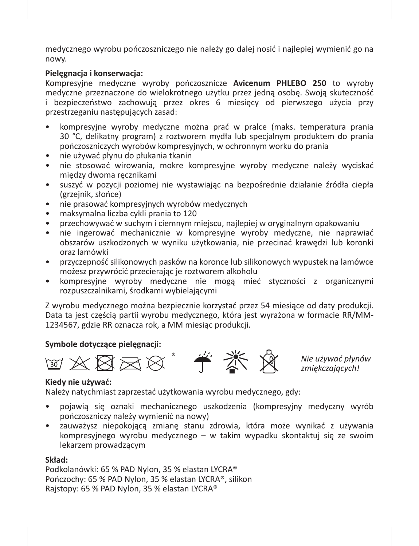medycznego wyrobu pończoszniczego nie należy go dalej nosić i najlepiej wymienić go na nowy.

### **Pielęgnacja i konserwacja:**

Kompresyjne medyczne wyroby pończosznicze **Avicenum PHLEBO 250** to wyroby medyczne przeznaczone do wielokrotnego użytku przez jedną osobę. Swoją skuteczność i bezpieczeństwo zachowują przez okres 6 miesięcy od pierwszego użycia przy przestrzeganiu następujących zasad:

- kompresyjne wyroby medyczne można prać w pralce (maks. temperatura prania 30 °C, delikatny program) z roztworem mydła lub specjalnym produktem do prania pończoszniczych wyrobów kompresyjnych, w ochronnym worku do prania
- nie używać płynu do płukania tkanin
- nie stosować wirowania, mokre kompresyjne wyroby medyczne należy wyciskać między dwoma ręcznikami
- suszyć w pozycji poziomej nie wystawiając na bezpośrednie działanie źródła ciepła (grzejnik, słońce)
- nie prasować kompresyjnych wyrobów medycznych
- maksymalna liczba cykli prania to 120
- przechowywać w suchym i ciemnym miejscu, najlepiej w oryginalnym opakowaniu
- nie ingerować mechanicznie w kompresyjne wyroby medyczne, nie naprawiać obszarów uszkodzonych w wyniku użytkowania, nie przecinać krawędzi lub koronki oraz lamówki
- przyczepność silikonowych pasków na koronce lub silikonowych wypustek na lamówce możesz przywrócić przecierając je roztworem alkoholu
- kompresyjne wyroby medyczne nie mogą mieć styczności z organicznymi rozpuszczalnikami, środkami wybielającymi

Z wyrobu medycznego można bezpiecznie korzystać przez 54 miesiące od daty produkcji. Data ta jest częścią partii wyrobu medycznego, która jest wyrażona w formacie RR/MM-1234567, gdzie RR oznacza rok, a MM miesiąc produkcji.

### **Symbole dotyczące pielęgnacji:**





*Nie używać płynów zmiękczających!*

### **Kiedy nie używać:**

Należy natychmiast zaprzestać użytkowania wyrobu medycznego, gdy:

- pojawią się oznaki mechanicznego uszkodzenia (kompresyjny medyczny wyrób pończoszniczy należy wymienić na nowy)
- zauważysz niepokojącą zmianę stanu zdrowia, która może wynikać z używania kompresyjnego wyrobu medycznego – w takim wypadku skontaktuj się ze swoim lekarzem prowadzącym

### **Skład:**

Podkolanówki: 65 % PAD Nylon, 35 % elastan LYCRA® Pończochy: 65 % PAD Nylon, 35 % elastan LYCRA®, silikon Rajstopy: 65 % PAD Nylon, 35 % elastan LYCRA®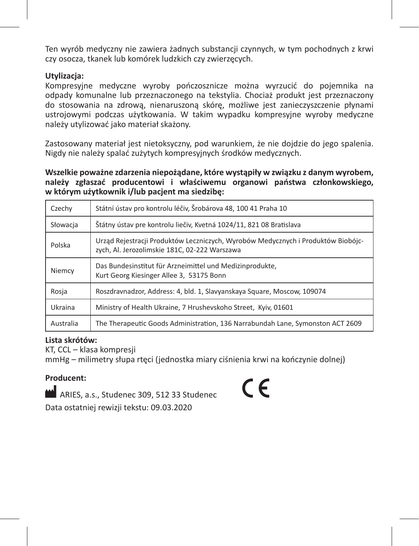Ten wyrób medyczny nie zawiera żadnych substancji czynnych, w tym pochodnych z krwi czy osocza, tkanek lub komórek ludzkich czy zwierzęcych.

### **Utylizacja:**

Kompresyjne medyczne wyroby pończosznicze można wyrzucić do pojemnika na odpady komunalne lub przeznaczonego na tekstylia. Chociaż produkt jest przeznaczony do stosowania na zdrową, nienaruszoną skórę, możliwe jest zanieczyszczenie płynami ustrojowymi podczas użytkowania. W takim wypadku kompresyjne wyroby medyczne należy utylizować jako materiał skażony.

Zastosowany materiał jest nietoksyczny, pod warunkiem, że nie dojdzie do jego spalenia. Nigdy nie należy spalać zużytych kompresyjnych środków medycznych.

**Wszelkie poważne zdarzenia niepożądane, które wystąpiły w związku z danym wyrobem, należy zgłaszać producentowi i właściwemu organowi państwa członkowskiego, w którym użytkownik i/lub pacjent ma siedzibę:**

| Czechy    | Státní ústav pro kontrolu léčiv, Šrobárova 48, 100 41 Praha 10                                                                    |
|-----------|-----------------------------------------------------------------------------------------------------------------------------------|
| Słowacia  | Štátny ústav pre kontrolu liečiy. Kvetná 1024/11. 821 08 Bratislava                                                               |
| Polska    | Urząd Rejestracji Produktów Leczniczych, Wyrobów Medycznych i Produktów Biobójc-<br>zvch. Al. Jerozolimskie 181C. 02-222 Warszawa |
| Niemcy    | Das Bundesinstitut für Arzneimittel und Medizinprodukte.<br>Kurt Georg Kiesinger Allee 3, 53175 Bonn                              |
| Rosja     | Roszdravnadzor, Address: 4, bld. 1, Slavyanskaya Square, Moscow, 109074                                                           |
| Ukraina   | Ministry of Health Ukraine, 7 Hrusheyskoho Street, Kviv, 01601                                                                    |
| Australia | The Therapeutic Goods Administration, 136 Narrabundah Lane, Symonston ACT 2609                                                    |

### **Lista skrótów:**

KT, CCL – klasa kompresji mmHg – milimetry słupa rtęci (jednostka miary ciśnienia krwi na kończynie dolnej)

### **Producent:**

ARIES, a.s., Studenec 309, 512 33 Studenec Data ostatniej rewizji tekstu: 09.03.2020

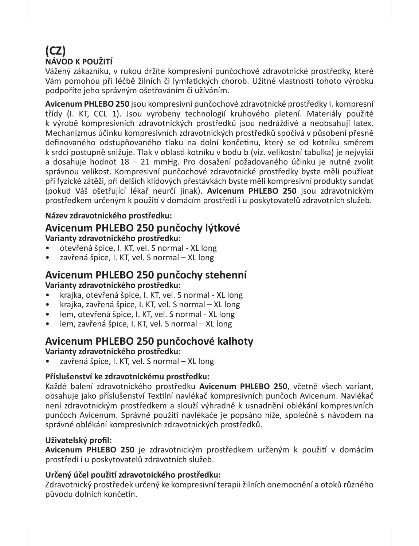### **(CZ) NÁVOD K POUŽITÍ**

Vážený zákazníku, v rukou držíte kompresivní punčochové zdravotnické prostředky, které Vám pomohou při léčbě žilních či lymfatických chorob. Užitné vlastnosti tohoto výrobku podpoříte jeho správným ošetřováním či užíváním.

**Avicenum PHLEBO 250** jsou kompresivní punčochové zdravotnické prostředky I. kompresní třídy (I. KT, CCL 1). Jsou vyrobeny technologií kruhového pletení. Materiály použité k výrobě kompresivních zdravotnických prostředků jsou nedráždivé a neobsahují latex. Mechanizmus účinku kompresivních zdravotnických prostředků spočívá v působení přesně definovaného odstupňovaného tlaku na dolní končetinu, který se od kotníku směrem k srdci postupně snižuje. Tlak v oblasti kotníku v bodu b (viz. velikostní tabulka) je nejvyšší a dosahuje hodnot 18 – 21 mmHg. Pro dosažení požadovaného účinku je nutné zvolit správnou velikost. Kompresivní punčochové zdravotnické prostředky byste měli používat při fyzické zátěži, při delších klidových přestávkách byste měli kompresivní produkty sundat (pokud Váš ošetřující lékař neurčí jinak). **Avicenum PHLEBO 250** jsou zdravotnickým prostředkem určeným k použití v domácím prostředí i u poskytovatelů zdravotních služeb.

### **Název zdravotnického prostředku:**

### **Avicenum PHLEBO 250 punčochy lýtkové Varianty zdravotnického prostředku:**

- otevřená špice, I. KT, vel. S normal XL long
- zavřená špice, I. KT, vel. S normal XL long

### **Avicenum PHLEBO 250 punčochy stehenní Varianty zdravotnického prostředku:**

- krajka, otevřená špice, I. KT, vel. S normal XL long
- krajka, zavřená špice, I. KT, vel. S normal XL long
- lem, otevřená špice, I. KT, vel. S normal XL long
- lem, zavřená špice, I. KT, vel. S normal XL long

### **Avicenum PHLEBO 250 punčochové kalhoty**

### **Varianty zdravotnického prostředku:**

• zavřená špice, I. KT, vel. S normal – XL long

### **Příslušenství ke zdravotnickému prostředku:**

Každé balení zdravotnického prostředku **Avicenum PHLEBO 250**, včetně všech variant, obsahuje jako příslušenství Textilní navlékač kompresivních punčoch Avicenum. Navlékač není zdravotnickým prostředkem a slouží výhradně k usnadnění oblékání kompresivních punčoch Avicenum. Správné použití navlékače je popsáno níže, společně s návodem na správné oblékání kompresivních zdravotnických prostředků.

### **Uživatelský profil:**

**Avicenum PHLEBO 250** je zdravotnickým prostředkem určeným k použití v domácím prostředí i u poskytovatelů zdravotních služeb.

### **Určený účel použití zdravotnického prostředku:**

Zdravotnický prostředek určený ke kompresivní terapii žilních onemocnění a otoků různého původu dolních končetin.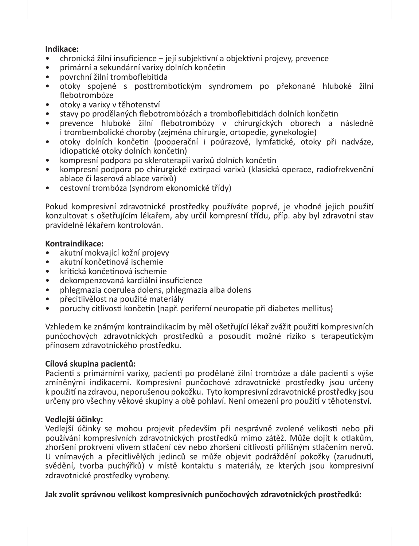### **Indikace:**

- chronická žilní insuficience její subjektivní a objektivní projevy, prevence
- primární a sekundární varixy dolních končetin
- povrchní žilní tromboflebitida
- otoky spojené s posttrombotickým syndromem po překonané hluboké žilní flebotrombóze
- otoky a varixy v těhotenství<br>• stavy no prodělaných fleboti
- stavy po prodělaných flebotrombózách a tromboflebitidách dolních končetin
- prevence hluboké žilní flebotrombózy v chirurgických oborech a následně i trombembolické choroby (zejména chirurgie, ortopedie, gynekologie)
- otoky dolních končetin (pooperační i poúrazové, lymfatické, otoky při nadváze, idiopatické otoky dolních končetin)
- kompresní podpora po skleroterapii varixů dolních končetin
- kompresní podpora po chirurgické extirpaci varixů (klasická operace, radiofrekvenční ablace či laserová ablace varixů)
- cestovní trombóza (syndrom ekonomické třídy)

Pokud kompresivní zdravotnické prostředky používáte poprvé, je vhodné jejich použití konzultovat s ošetřujícím lékařem, aby určil kompresní třídu, příp. aby byl zdravotní stav pravidelně lékařem kontrolován.

### **Kontraindikace:**

- akutní mokvající kožní projevy
- akutní končetinová ischemie
- kritická končetinová ischemie
- dekompenzovaná kardiální insuficience
- phlegmazia coerulea dolens, phlegmazia alba dolens
- přecitlivělost na použité materiály
- poruchy citlivosti končetin (např. periferní neuropatie při diabetes mellitus)

Vzhledem ke známým kontraindikacím by měl ošetřující lékař zvážit použití kompresivních punčochových zdravotnických prostředků a posoudit možné riziko s terapeutickým přínosem zdravotnického prostředku.

### **Cílová skupina pacientů:**

Pacienti s primárními varixy, pacienti po prodělané žilní trombóze a dále pacienti s výše zmíněnými indikacemi. Kompresivní punčochové zdravotnické prostředky jsou určeny k použití na zdravou, neporušenou pokožku. Tyto kompresivní zdravotnické prostředky jsou určeny pro všechny věkové skupiny a obě pohlaví. Není omezení pro použití v těhotenství.

### **Vedlejší účinky:**

Vedlejší účinky se mohou projevit především při nesprávně zvolené velikosti nebo při používání kompresivních zdravotnických prostředků mimo zátěž. Může dojít k otlakům, zhoršení prokrvení vlivem stlačení cév nebo zhoršení citlivosti přílišným stlačením nervů. U vnímavých a přecitlivělých jedinců se může objevit podráždění pokožky (zarudnutí, svědění, tvorba puchýřků) v místě kontaktu s materiály, ze kterých jsou kompresivní zdravotnické prostředky vyrobeny.

**Jak zvolit správnou velikost kompresivních punčochových zdravotnických prostředků:**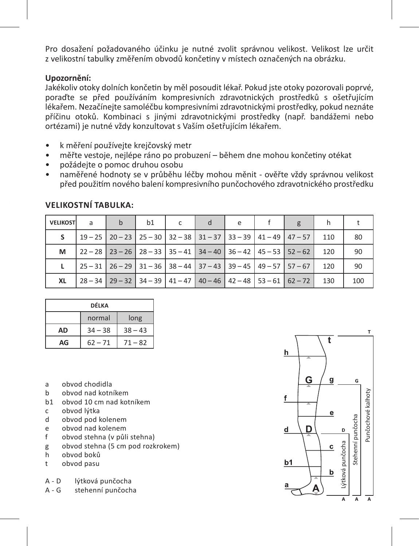Pro dosažení požadovaného účinku je nutné zvolit správnou velikost. Velikost lze určit z velikostní tabulky změřením obvodů končetiny v místech označených na obrázku.

### **Upozornění:**

Jakékoliv otoky dolních končetin by měl posoudit lékař. Pokud jste otoky pozorovali poprvé, poraďte se před používáním kompresivních zdravotnických prostředků s ošetřujícím lékařem. Nezačínejte samoléčbu kompresivními zdravotnickými prostředky, pokud neznáte příčinu otoků. Kombinaci s jinými zdravotnickými prostředky (např. bandážemi nebo ortézami) je nutné vždy konzultovat s Vaším ošetřujícím lékařem.

- k měření používejte krejčovský metr
- měřte vestoje, nejlépe ráno po probuzení během dne mohou končetiny otékat
- požádejte o pomoc druhou osobu
- naměřené hodnoty se v průběhu léčby mohou měnit ověřte vždy správnou velikost před použitím nového balení kompresivního punčochového zdravotnického prostředku

| <b>VELIKOST</b> | a | h | b1 |  | e |                                                                                 |     |     |
|-----------------|---|---|----|--|---|---------------------------------------------------------------------------------|-----|-----|
| s               |   |   |    |  |   | 19 – 25   20 – 23   25 – 30   32 – 38   31 – 37   33 – 39   41 – 49   47 – 57   | 110 | 80  |
| м               |   |   |    |  |   | $22 - 28$   23 - 26   28 - 33   35 - 41   34 - 40   36 - 42   45 - 53   52 - 62 | 120 | 90  |
|                 |   |   |    |  |   | $25-31$   $26-29$   $31-36$   $38-44$   $37-43$   $39-45$   $49-57$   $57-67$   | 120 | 90  |
| XL              |   |   |    |  |   | $28 - 34$   29 - 32   34 - 39   41 - 47   40 - 46   42 - 48   53 - 61   62 - 72 | 130 | 100 |

### **VELIKOSTNÍ TABULKA:**

| DÉLKA |           |           |  |  |  |  |
|-------|-----------|-----------|--|--|--|--|
|       | normal    | long      |  |  |  |  |
| AD    | $34 - 38$ | $38 - 43$ |  |  |  |  |
| AG    | $62 - 71$ | $71 - 82$ |  |  |  |  |

- a obvod chodidla
- b obvod nad kotníkem
- b1 obvod 10 cm nad kotníkem
- c obvod lýtka<br>d obvod pod l
- d obvod pod kolenem<br>e obvod pad kolenem
- e obvod nad kolenem
- f obvod stehna (v půli stehna)
- g obvod stehna (5 cm pod rozkrokem)
- h obvod boků
- t obvod pasu
- A D lýtková punčocha<br>A G stehenní punčoch
- stehenní punčocha

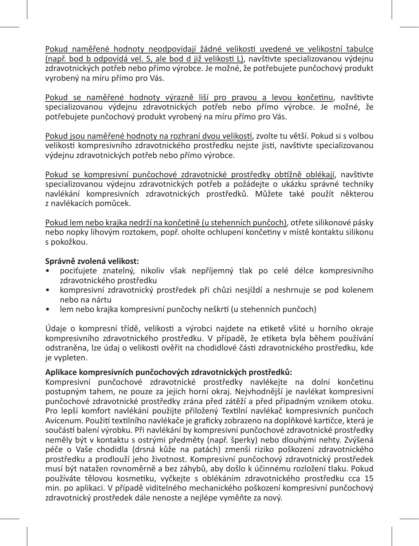Pokud naměřené hodnoty neodpovídají žádné velikosti uvedené ve velikostní tabulce (např. bod b odpovídá vel. S, ale bod d již velikosti L), navštivte specializovanou výdejnu zdravotnických potřeb nebo přímo výrobce. Je možné, že potřebujete punčochový produkt vyrobený na míru přímo pro Vás.

Pokud se naměřené hodnoty výrazně liší pro pravou a levou končetinu, navštivte specializovanou výdejnu zdravotnických potřeb nebo přímo výrobce. Je možné, že potřebujete punčochový produkt vyrobený na míru přímo pro Vás.

Pokud jsou naměřené hodnoty na rozhraní dvou velikostí, zvolte tu větší. Pokud si s volbou velikosti kompresivního zdravotnického prostředku nejste jisti, navštivte specializovanou výdejnu zdravotnických potřeb nebo přímo výrobce.

Pokud se kompresivní punčochové zdravotnické prostředky obtížně oblékají, navštivte specializovanou výdejnu zdravotnických potřeb a požádejte o ukázku správné techniky navlékání kompresivních zdravotnických prostředků. Můžete také použít některou z navlékacích pomůcek.

Pokud lem nebo krajka nedrží na končetině (u stehenních punčoch), otřete silikonové pásky nebo nopky lihovým roztokem, popř. oholte ochlupení končetiny v místě kontaktu silikonu s pokožkou.

### **Správně zvolená velikost:**

- pociťujete znatelný, nikoliv však nepříjemný tlak po celé délce kompresivního zdravotnického prostředku
- kompresivní zdravotnický prostředek při chůzi nesjíždí a neshrnuje se pod kolenem nebo na nártu
- lem nebo krajka kompresivní punčochy neškrtí (u stehenních punčoch)

Údaje o kompresní třídě, velikosti a výrobci najdete na etiketě všité u horního okraje kompresivního zdravotnického prostředku. V případě, že etiketa byla během používání odstraněna, lze údaj o velikosti ověřit na chodidlové části zdravotnického prostředku, kde je vypleten.

### **Aplikace kompresivních punčochových zdravotnických prostředků:**

Kompresivní punčochové zdravotnické prostředky navlékejte na dolní končetinu postupným tahem, ne pouze za jejich horní okraj. Nejvhodnější je navlékat kompresivní punčochové zdravotnické prostředky zrána před zátěží a před případným vznikem otoku. Pro lepší komfort navlékání použijte přiložený Textilní navlékač kompresivních punčoch Avicenum. Použití textilního navlékače je graficky zobrazeno na doplňkové kartičce, která je součástí balení výrobku. Při navlékání by kompresivní punčochové zdravotnické prostředky neměly být v kontaktu s ostrými předměty (např. šperky) nebo dlouhými nehty. Zvýšená péče o Vaše chodidla (drsná kůže na patách) zmenší riziko poškození zdravotnického prostředku a prodlouží jeho životnost. Kompresivní punčochový zdravotnický prostředek musí být natažen rovnoměrně a bez záhybů, aby došlo k účinnému rozložení tlaku. Pokud používáte tělovou kosmetiku, vyčkejte s oblékáním zdravotnického prostředku cca 15 min. po aplikaci. V případě viditelného mechanického poškození kompresivní punčochový zdravotnický prostředek dále nenoste a nejlépe vyměňte za nový.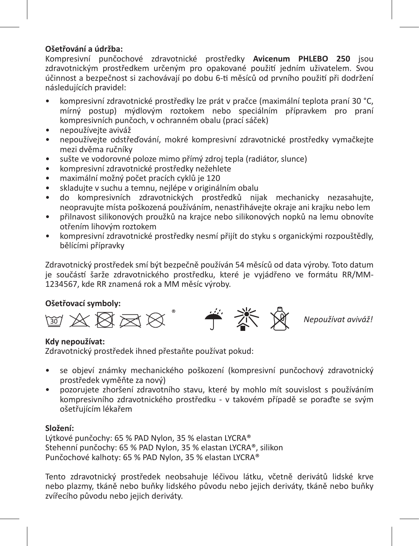### **Ošetřování a údržba:**

Kompresivní punčochové zdravotnické prostředky **Avicenum PHLEBO 250** jsou zdravotnickým prostředkem určeným pro opakované použití jedním uživatelem. Svou účinnost a bezpečnost si zachovávají po dobu 6-ti měsíců od prvního použití při dodržení následujících pravidel:

- kompresivní zdravotnické prostředky lze prát v pračce (maximální teplota praní 30 °C, mírný postup) mýdlovým roztokem nebo speciálním přípravkem pro praní kompresivních punčoch, v ochranném obalu (prací sáček)
- nepoužívejte aviváž
- nepoužívejte odstřeďování, mokré kompresivní zdravotnické prostředky vymačkejte mezi dvěma ručníky
- sušte ve vodorovné poloze mimo přímý zdroj tepla (radiátor, slunce)
- kompresivní zdravotnické prostředky nežehlete
- maximální možný počet pracích cyklů je 120
- skladujte v suchu a temnu, nejlépe v originálním obalu
- do kompresivních zdravotnických prostředků nijak mechanicky nezasahujte, neopravujte místa poškozená používáním, nenastřihávejte okraje ani krajku nebo lem
- přilnavost silikonových proužků na krajce nebo silikonových nopků na lemu obnovíte otřením lihovým roztokem
- kompresivní zdravotnické prostředky nesmí přijít do styku s organickými rozpouštědly, bělícími přípravky

Zdravotnický prostředek smí být bezpečně používán 54 měsíců od data výroby. Toto datum je součástí šarže zdravotnického prostředku, které je vyjádřeno ve formátu RR/MM-1234567, kde RR znamená rok a MM měsíc výroby.

### **Ošetřovací symboly:**



*Nepoužívat aviváž!*

### **Kdy nepoužívat:**

Zdravotnický prostředek ihned přestaňte používat pokud:

- se objeví známky mechanického poškození (kompresivní punčochový zdravotnický prostředek vyměňte za nový)
- pozorujete zhoršení zdravotního stavu, které by mohlo mít souvislost s používáním kompresivního zdravotnického prostředku - v takovém případě se poraďte se svým ošetřujícím lékařem

### **Složení:**

Lýtkové punčochy: 65 % PAD Nylon, 35 % elastan LYCRA® Stehenní punčochy: 65 % PAD Nylon, 35 % elastan LYCRA®, silikon Punčochové kalhoty: 65 % PAD Nylon, 35 % elastan LYCRA®

Tento zdravotnický prostředek neobsahuje léčivou látku, včetně derivátů lidské krve nebo plazmy, tkáně nebo buňky lidského původu nebo jejich deriváty, tkáně nebo buňky zvířecího původu nebo jejich deriváty.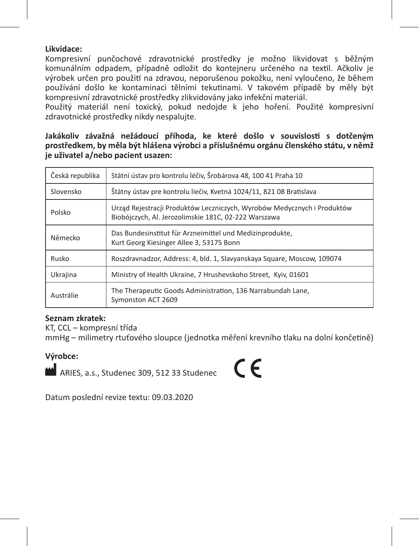### **Likvidace:**

Kompresivní punčochové zdravotnické prostředky je možno likvidovat s běžným komunálním odpadem, případně odložit do kontejneru určeného na textil. Ačkoliv je výrobek určen pro použití na zdravou, neporušenou pokožku, není vyloučeno, že během používání došlo ke kontaminaci tělními tekutinami. V takovém případě by měly být kompresivní zdravotnické prostředky zlikvidovány jako infekční materiál.

Použitý materiál není toxický, pokud nedojde k jeho hoření. Použité kompresivní zdravotnické prostředky nikdy nespalujte.

**Jakákoliv závažná nežádoucí příhoda, ke které došlo v souvislosti s dotčeným prostředkem, by měla být hlášena výrobci a příslušnému orgánu členského státu, v němž je uživatel a/nebo pacient usazen:** 

| Česká republika | Státní ústav pro kontrolu léčiv. Šrobárova 48. 100 41 Praha 10                                                                  |
|-----------------|---------------------------------------------------------------------------------------------------------------------------------|
| Slovensko       | Štátny ústav pre kontrolu liečiv, Kvetná 1024/11, 821 08 Bratislava                                                             |
| Polsko          | Urząd Rejestracji Produktów Leczniczych, Wyrobów Medycznych i Produktów<br>Biobójczych, Al. Jerozolimskie 181C, 02-222 Warszawa |
| Německo         | Das Bundesinstitut für Arzneimittel und Medizinprodukte,<br>Kurt Georg Kiesinger Allee 3, 53175 Bonn                            |
| Rusko           | Roszdravnadzor, Address: 4, bld. 1, Slavyanskaya Square, Moscow, 109074                                                         |
| Ukrajina        | Ministry of Health Ukraine, 7 Hrushevskoho Street, Kyiv, 01601                                                                  |
| Austrálie       | The Therapeutic Goods Administration, 136 Narrabundah Lane.<br>Symonston ACT 2609                                               |

### **Seznam zkratek:**

KT, CCL – kompresní třída

mmHg – milimetry rtuťového sloupce (jednotka měření krevního tlaku na dolní končetině)

### **Výrobce:**

ARIES, a.s., Studenec 309, 512 33 Studenec

 $\epsilon$ 

Datum poslední revize textu: 09.03.2020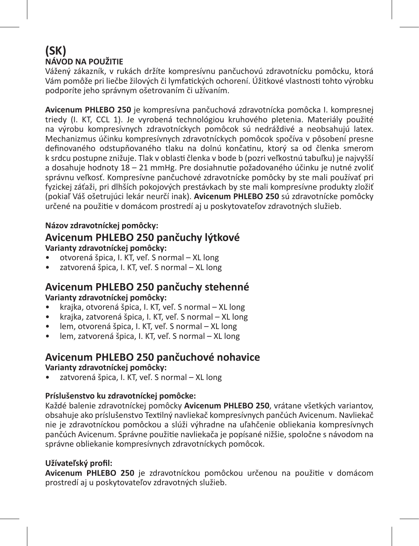### **(SK) NÁVOD NA POUŽITIE**

Vážený zákazník, v rukách držíte kompresívnu pančuchovú zdravotnícku pomôcku, ktorá Vám pomôže pri liečbe žilových či lymfatických ochorení. Úžitkové vlastnosti tohto výrobku podporíte jeho správnym ošetrovaním či užívaním.

**Avicenum PHLEBO 250** je kompresívna pančuchová zdravotnícka pomôcka I. kompresnej triedy (I. KT, CCL 1). Je vyrobená technológiou kruhového pletenia. Materiály použité na výrobu kompresívnych zdravotníckych pomôcok sú nedráždivé a neobsahujú latex. Mechanizmus účinku kompresívnych zdravotníckych pomôcok spočíva v pôsobení presne definovaného odstupňovaného tlaku na dolnú končatinu, ktorý sa od členka smerom k srdcu postupne znižuje. Tlak v oblasti členka v bode b (pozri veľkostnú tabuľku) je najvyšší a dosahuje hodnoty 18 – 21 mmHg. Pre dosiahnutie požadovaného účinku je nutné zvoliť správnu veľkosť. Kompresívne pančuchové zdravotnícke pomôcky by ste mali používať pri fyzickej záťaži, pri dlhších pokojových prestávkach by ste mali kompresívne produkty zložiť (pokiaľ Váš ošetrujúci lekár neurčí inak). **Avicenum PHLEBO 250** sú zdravotnícke pomôcky určené na použitie v domácom prostredí aj u poskytovateľov zdravotných služieb.

### **Názov zdravotníckej pomôcky:**

### **Avicenum PHLEBO 250 pančuchy lýtkové Varianty zdravotníckej pomôcky:**

- otvorená špica, I. KT, veľ. S normal XL long
- zatvorená špica, I. KT, veľ. S normal XL long

### **Avicenum PHLEBO 250 pančuchy stehenné Varianty zdravotníckej pomôcky:**

- krajka, otvorená špica, I. KT, veľ. S normal XL long
- krajka, zatvorená špica, I. KT, veľ. S normal XL long
- lem, otvorená špica, I. KT, veľ. S normal XL long
- lem, zatvorená špica, I. KT, veľ. S normal XL long

### **Avicenum PHLEBO 250 pančuchové nohavice Varianty zdravotníckej pomôcky:**

• zatvorená špica, I. KT, veľ. S normal – XL long

### **Príslušenstvo ku zdravotníckej pomôcke:**

Každé balenie zdravotníckej pomôcky **Avicenum PHLEBO 250**, vrátane všetkých variantov, obsahuje ako príslušenstvo Textilný navliekač kompresívnych pančúch Avicenum. Navliekač nie je zdravotníckou pomôckou a slúži výhradne na uľahčenie obliekania kompresívnych pančúch Avicenum. Správne použitie navliekača je popísané nižšie, spoločne s návodom na správne obliekanie kompresívnych zdravotníckych pomôcok.

### **Užívateľský profil:**

**Avicenum PHLEBO 250** je zdravotníckou pomôckou určenou na použitie v domácom prostredí aj u poskytovateľov zdravotných služieb.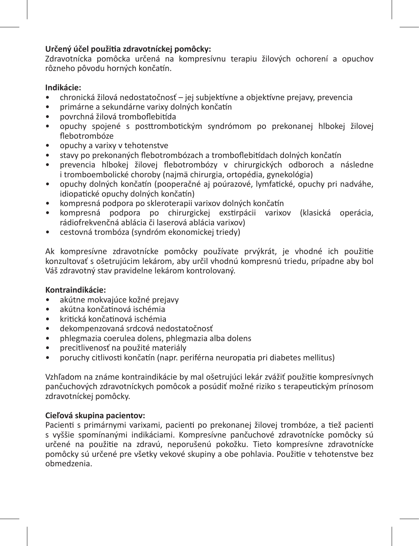### **Určený účel použitia zdravotníckej pomôcky:**

Zdravotnícka pomôcka určená na kompresívnu terapiu žilových ochorení a opuchov rôzneho pôvodu horných končatín.

### **Indikácie:**

- chronická žilová nedostatočnosť jej subjektívne a objektívne prejavy, prevencia
- primárne a sekundárne varixy dolných končatín
- povrchná žilová tromboflebitída
- opuchy spojené s posttrombotickým syndrómom po prekonanej hlbokej žilovej flebotrombóze
- opuchy a varixy v tehotenstve
- stavy po prekonaných flebotrombózach a tromboflebitídach dolných končatín
- prevencia hlbokej žilovej flebotrombózy v chirurgických odboroch a následne i tromboembolické choroby (najmä chirurgia, ortopédia, gynekológia)
- opuchy dolných končatín (pooperačné aj poúrazové, lymfatické, opuchy pri nadváhe, idiopatické opuchy dolných končatín)
- kompresná podpora po skleroterapii varixov dolných končatín
- kompresná podpora po chirurgickej exstirpácii varixov (klasická operácia, rádiofrekvenčná ablácia či laserová ablácia varixov)
- cestovná trombóza (syndróm ekonomickej triedy)

Ak kompresívne zdravotnícke pomôcky používate prvýkrát, je vhodné ich použitie konzultovať s ošetrujúcim lekárom, aby určil vhodnú kompresnú triedu, prípadne aby bol Váš zdravotný stav pravidelne lekárom kontrolovaný.

### **Kontraindikácie:**

- akútne mokvajúce kožné prejavy
- akútna končatinová ischémia
- kritická končatinová ischémia
- dekompenzovaná srdcová nedostatočnosť
- phlegmazia coerulea dolens, phlegmazia alba dolens
- precitlivenosť na použité materiály
- poruchy citlivosti končatín (napr. periférna neuropatia pri diabetes mellitus)

Vzhľadom na známe kontraindikácie by mal ošetrujúci lekár zvážiť použitie kompresívnych pančuchových zdravotníckych pomôcok a posúdiť možné riziko s terapeutickým prínosom zdravotníckej pomôcky.

### **Cieľová skupina pacientov:**

Pacienti s primárnymi varixami, pacienti po prekonanej žilovej trombóze, a tiež pacienti s vyššie spomínanými indikáciami. Kompresívne pančuchové zdravotnícke pomôcky sú určené na použitie na zdravú, neporušenú pokožku. Tieto kompresívne zdravotnícke pomôcky sú určené pre všetky vekové skupiny a obe pohlavia. Použitie v tehotenstve bez obmedzenia.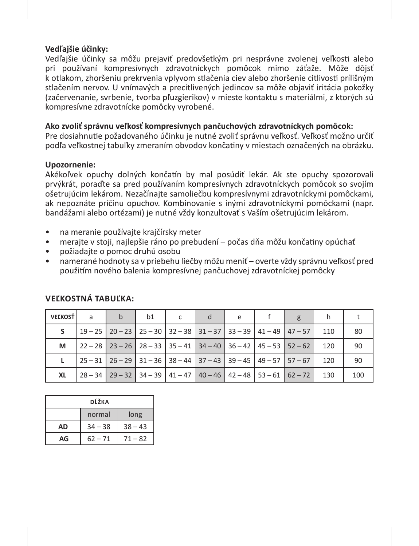### **Vedľajšie účinky:**

Vedľajšie účinky sa môžu prejaviť predovšetkým pri nesprávne zvolenej veľkosti alebo pri používaní kompresívnych zdravotníckych pomôcok mimo záťaže. Môže dôjsť k otlakom, zhoršeniu prekrvenia vplyvom stlačenia ciev alebo zhoršenie citlivosti prílišným stlačením nervov. U vnímavých a precitlivených jedincov sa môže objaviť iritácia pokožky (začervenanie, svrbenie, tvorba pľuzgierikov) v mieste kontaktu s materiálmi, z ktorých sú kompresívne zdravotnícke pomôcky vyrobené.

### **Ako zvoliť správnu veľkosť kompresívnych pančuchových zdravotníckych pomôcok:**

Pre dosiahnutie požadovaného účinku je nutné zvoliť správnu veľkosť. Veľkosť možno určiť podľa veľkostnej tabuľky zmeraním obvodov končatiny v miestach označených na obrázku.

### **Upozornenie:**

Akékoľvek opuchy dolných končatín by mal posúdiť lekár. Ak ste opuchy spozorovali prvýkrát, poraďte sa pred používaním kompresívnych zdravotníckych pomôcok so svojím ošetrujúcim lekárom. Nezačínajte samoliečbu kompresívnymi zdravotníckymi pomôckami, ak nepoznáte príčinu opuchov. Kombinovanie s inými zdravotníckymi pomôckami (napr. bandážami alebo ortézami) je nutné vždy konzultovať s Vaším ošetrujúcim lekárom.

- na meranie používajte krajčírsky meter
- merajte v stoji, najlepšie ráno po prebudení počas dňa môžu končatiny opúchať
- požiadajte o pomoc druhú osobu
- namerané hodnoty sa v priebehu liečby môžu meniť overte vždy správnu veľkosť pred použitím nového balenia kompresívnej pančuchovej zdravotníckej pomôcky

| <b>VEĽKOSŤ</b> | a | $\mathsf{h}$ | b1 | d | e | g                                                                                                                       |     |     |
|----------------|---|--------------|----|---|---|-------------------------------------------------------------------------------------------------------------------------|-----|-----|
| s.             |   |              |    |   |   | $19-25$   20 - 23   25 - 30   32 - 38   31 - 37   33 - 39   41 - 49   47 - 57                                           | 110 | 80  |
| М              |   |              |    |   |   | $\mid$ 22 - 28 $\mid$ 23 - 26 $\mid$ 28 - 33 $\mid$ 35 - 41 $\mid$ 34 - 40 $\mid$ 36 - 42 $\mid$ 45 - 53 $\mid$ 52 - 62 | 120 | 90  |
|                |   |              |    |   |   | $25 - 31$ $26 - 29$ $31 - 36$ $38 - 44$ $37 - 43$ $39 - 45$ $49 - 57$ $57 - 67$                                         | 120 | 90  |
| XL             |   |              |    |   |   | $28 - 34$   29 - 32   34 - 39   41 - 47   40 - 46   42 - 48   53 - 61   62 - 72                                         | 130 | 100 |

### **Veľkostná tabuľka:**

| DĹŽKA |           |           |  |  |  |  |  |
|-------|-----------|-----------|--|--|--|--|--|
|       | normal    | long      |  |  |  |  |  |
| AD    | $34 - 38$ | $38 - 43$ |  |  |  |  |  |
| AG    | $62 - 71$ | $71 - 82$ |  |  |  |  |  |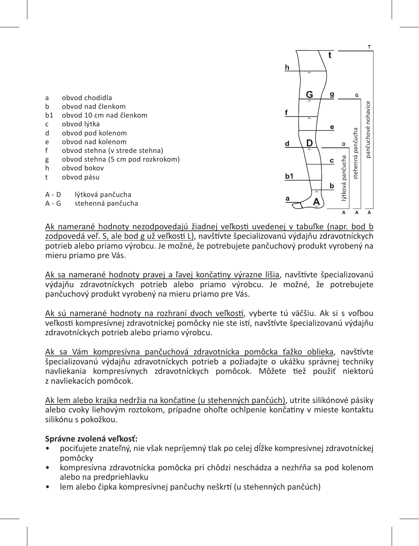

Ak namerané hodnoty nezodpovedajú žiadnej veľkosti uvedenej v tabuľke (napr. bod b zodpovedá veľ. S, ale bod g už veľkosti L), navštívte špecializovanú výdajňu zdravotníckych potrieb alebo priamo výrobcu. Je možné, že potrebujete pančuchový produkt vyrobený na mieru priamo pre Vás.

Ak sa namerané hodnoty pravej a ľavej končatiny výrazne líšia, navštívte špecializovanú výdajňu zdravotníckych potrieb alebo priamo výrobcu. Je možné, že potrebujete pančuchový produkt vyrobený na mieru priamo pre Vás.

Ak sú namerané hodnoty na rozhraní dvoch veľkostí, vyberte tú väčšiu. Ak si s voľbou veľkosti kompresívnej zdravotníckej pomôcky nie ste istí, navštívte špecializovanú výdajňu zdravotníckych potrieb alebo priamo výrobcu.

Ak sa Vám kompresívna pančuchová zdravotnícka pomôcka ťažko oblieka, navštívte špecializovanú výdajňu zdravotníckych potrieb a požiadajte o ukážku správnej techniky navliekania kompresívnych zdravotníckych pomôcok. Môžete tiež použiť niektorú z navliekacích pomôcok.

Ak lem alebo krajka nedržia na končatine (u stehenných pančúch), utrite silikónové pásiky alebo cvoky liehovým roztokom, prípadne ohoľte ochlpenie končatiny v mieste kontaktu silikónu s pokožkou.

### **Správne zvolená veľkosť:**

- pociťujete znateľný, nie však nepríjemný tlak po celej dĺžke kompresívnej zdravotníckej pomôcky
- kompresívna zdravotnícka pomôcka pri chôdzi neschádza a nezhŕňa sa pod kolenom alebo na predpriehlavku
- lem alebo čipka kompresívnej pančuchy neškrtí (u stehenných pančúch)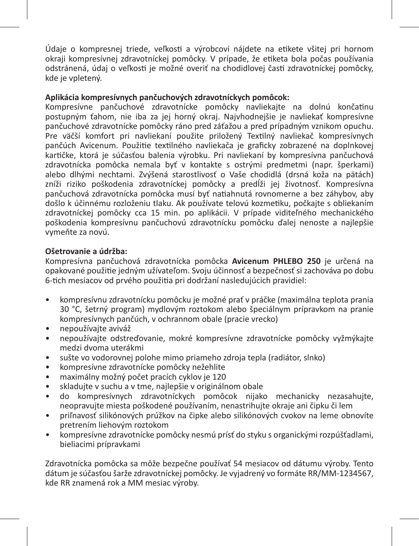Údaje o kompresnej triede, veľkosti a výrobcovi nájdete na etikete všitej pri hornom okraji kompresívnej zdravotníckej pomôcky. V prípade, že etiketa bola počas používania odstránená, údaj o veľkosti je možné overiť na chodidlovej časti zdravotníckej pomôcky, kde je vpletený.

### **Aplikácia kompresívnych pančuchových zdravotníckych pomôcok:**

Kompresívne pančuchové zdravotnícke pomôcky navliekajte na dolnú končatinu postupným ťahom, nie iba za jej horný okraj. Najvhodnejšie je navliekať kompresívne pančuchové zdravotnícke pomôcky ráno pred záťažou a pred prípadným vznikom opuchu. Pre väčší komfort pri navliekaní použite priložený Textilný navliekač kompresívnych pančúch Avicenum. Použitie textilného navliekača je graficky zobrazené na doplnkovej kartičke, ktorá je súčasťou balenia výrobku. Pri navliekaní by kompresívna pančuchová zdravotnícka pomôcka nemala byť v kontakte s ostrými predmetmi (napr. šperkami) alebo dlhými nechtami. Zvýšená starostlivosť o Vaše chodidlá (drsná koža na pätách) zníži riziko poškodenia zdravotníckej pomôcky a predĺži jej životnosť. Kompresívna pančuchová zdravotnícka pomôcka musí byť natiahnutá rovnomerne a bez záhybov, aby došlo k účinnému rozloženiu tlaku. Ak používate telovú kozmetiku, počkajte s obliekaním zdravotníckej pomôcky cca 15 min. po aplikácii. V prípade viditeľného mechanického poškodenia kompresívnu pančuchovú zdravotnícku pomôcku ďalej nenoste a najlepšie vymeňte za novú.

### **Ošetrovanie a údržba:**

Kompresívna pančuchová zdravotnícka pomôcka **Avicenum PHLEBO 250** je určená na opakované použitie jedným užívateľom. Svoju účinnosť a bezpečnosť si zachováva po dobu 6-tich mesiacov od prvého použitia pri dodržaní nasledujúcich pravidiel:

- kompresívnu zdravotnícku pomôcku je možné prať v práčke (maximálna teplota prania 30 °C, šetrný program) mydlovým roztokom alebo špeciálnym prípravkom na pranie kompresívnych pančúch, v ochrannom obale (pracie vrecko)
- nepoužívajte aviváž
- nepoužívajte odstreďovanie, mokré kompresívne zdravotnícke pomôcky vyžmýkajte medzi dvoma uterákmi
- sušte vo vodorovnej polohe mimo priameho zdroja tepla (radiátor, slnko)
- kompresívne zdravotnícke pomôcky nežehlite
- maximálny možný počet pracích cyklov je 120
- skladujte v suchu a v tme, najlepšie v originálnom obale
- do kompresívnych zdravotníckych pomôcok nijako mechanicky nezasahujte, neopravujte miesta poškodené používaním, nenastrihujte okraje ani čipku či lem
- priľnavosť silikónových prúžkov na čipke alebo silikónových cvokov na leme obnovíte pretrením liehovým roztokom
- kompresívne zdravotnícke pomôcky nesmú prísť do styku s organickými rozpúšťadlami, bieliacimi prípravkami

Zdravotnícka pomôcka sa môže bezpečne používať 54 mesiacov od dátumu výroby. Tento dátum je súčasťou šarže zdravotníckej pomôcky. Je vyjadrený vo formáte RR/MM-1234567, kde RR znamená rok a MM mesiac výroby.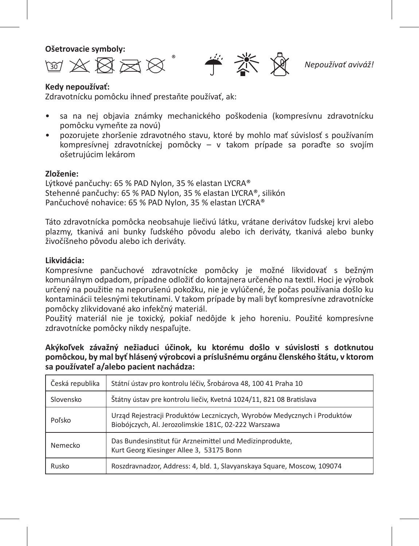**Ošetrovacie symboly:**

ギ 淡 ☆ R≈¤

*Nepoužívať aviváž!*

### **Kedy nepoužívať:** Zdravotnícku pomôcku ihneď prestaňte používať, ak:

- sa na nej objavia známky mechanického poškodenia (kompresívnu zdravotnícku pomôcku vymeňte za novú)
- pozorujete zhoršenie zdravotného stavu, ktoré by mohlo mať súvislosť s používaním kompresívnej zdravotníckej pomôcky – v takom prípade sa poraďte so svojím ošetrujúcim lekárom

### **Zloženie:**

Lýtkové pančuchy: 65 % PAD Nylon, 35 % elastan LYCRA® Stehenné pančuchy: 65 % PAD Nylon, 35 % elastan LYCRA®, silikón Pančuchové nohavice: 65 % PAD Nylon, 35 % elastan LYCRA®

Táto zdravotnícka pomôcka neobsahuje liečivú látku, vrátane derivátov ľudskej krvi alebo plazmy, tkanivá ani bunky ľudského pôvodu alebo ich deriváty, tkanivá alebo bunky živočíšneho pôvodu alebo ich deriváty.

### **Likvidácia:**

Kompresívne pančuchové zdravotnícke pomôcky je možné likvidovať s bežným komunálnym odpadom, prípadne odložiť do kontajnera určeného na textil. Hoci je výrobok určený na použitie na neporušenú pokožku, nie je vylúčené, že počas používania došlo ku kontaminácii telesnými tekutinami. V takom prípade by mali byť kompresívne zdravotnícke pomôcky zlikvidované ako infekčný materiál.

Použitý materiál nie je toxický, pokiaľ nedôjde k jeho horeniu. Použité kompresívne zdravotnícke pomôcky nikdy nespaľujte.

**Akýkoľvek závažný nežiaduci účinok, ku ktorému došlo v súvislosti s dotknutou pomôckou, by mal byť hlásený výrobcovi a príslušnému orgánu členského štátu, v ktorom sa používateľ a/alebo pacient nachádza:** 

| Česká republika | Státní ústav pro kontrolu léčiv, Šrobárova 48, 100 41 Praha 10                                                                  |
|-----------------|---------------------------------------------------------------------------------------------------------------------------------|
| Slovensko       | Štátny ústav pre kontrolu liečiv, Kvetná 1024/11, 821 08 Bratislava                                                             |
| Poľsko          | Urząd Rejestracji Produktów Leczniczych, Wyrobów Medycznych i Produktów<br>Biobójczych, Al. Jerozolimskie 181C, 02-222 Warszawa |
| Nemecko         | Das Bundesinstitut für Arzneimittel und Medizinprodukte,<br>Kurt Georg Kiesinger Allee 3, 53175 Bonn                            |
| Rusko           | Roszdravnadzor, Address: 4, bld. 1, Slavyanskaya Square, Moscow, 109074                                                         |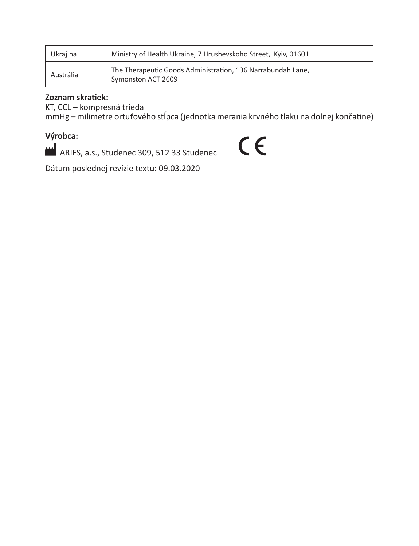| Ukraiina  | Ministry of Health Ukraine, 7 Hrushevskoho Street, Kyiv, 01601                    |
|-----------|-----------------------------------------------------------------------------------|
| Austrália | The Therapeutic Goods Administration, 136 Narrabundah Lane,<br>Symonston ACT 2609 |

### **Zoznam skratiek:**

KT, CCL – kompresná trieda

mmHg – milimetre ortuťového stĺpca (jednotka merania krvného tlaku na dolnej končatine)

### **Výrobca:**

ARIES, a.s., Studenec 309, 512 33 Studenec

# $C<sub>f</sub>$

Dátum poslednej revízie textu: 09.03.2020